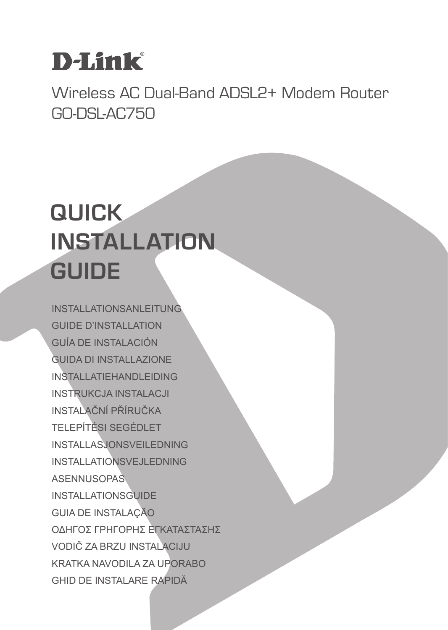# **D-Link**

Wireless AC Dual-Band ADSL2+ Modem Router GO-DSL-AC750

# **QUICK INSTALLATION GUIDE**

INSTALLATIONSANLEITUNG GUIDE D'INSTALLATION GUÍA DE INSTALACIÓN GUIDA DI INSTALLAZIONE INSTALLATIEHANDLEIDING INSTRUKCJA INSTALACJI INSTALAČNÍ PŘÍRUČKA TELEPÍTÉSI SEGÉDLET INSTALLASJONSVEILEDNING INSTALLATIONSVEJLEDNING ASENNUSOPAS INSTALLATIONSGUIDE GUIA DE INSTALAÇÃO ΟΔΗΓΟΣ ΓΡΗΓΟΡΗΣ ΕΓΚΑΤΑΣΤΑΣΗΣ VODIČ ZA BRZU INSTALACIJU KRATKA NAVODILA ZA UPORABO GHID DE INSTALARE RAPIDĂ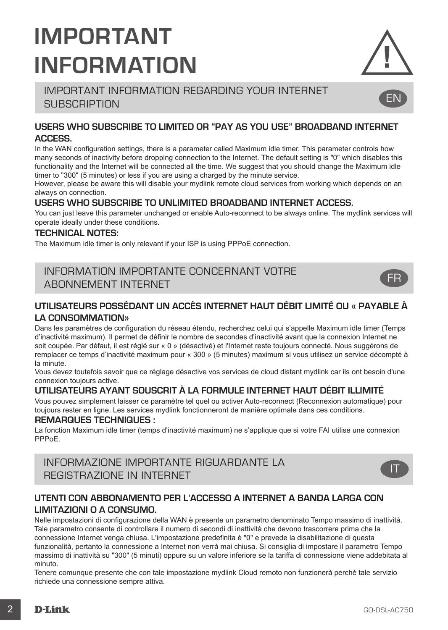# **IMPORTANT INFORMATION**

## IMPORTANT INFORMATION REGARDING YOUR INTERNET **SUBSCRIPTION**

### **USERS WHO SUBSCRIBE TO LIMITED OR "PAY AS YOU USE" BROADBAND INTERNET ACCESS.**

In the WAN configuration settings, there is a parameter called Maximum idle timer. This parameter controls how many seconds of inactivity before dropping connection to the Internet. The default setting is "0" which disables this functionality and the Internet will be connected all the time. We suggest that you should change the Maximum idle timer to "300" (5 minutes) or less if you are using a charged by the minute service.

However, please be aware this will disable your mydlink remote cloud services from working which depends on an always on connection.

### **USERS WHO SUBSCRIBE TO UNLIMITED BROADBAND INTERNET ACCESS.**

You can just leave this parameter unchanged or enable Auto-reconnect to be always online. The mydlink services will operate ideally under these conditions.

#### **TECHNICAL NOTES:**

The Maximum idle timer is only relevant if your ISP is using PPPoE connection.

## INFORMATION IMPORTANTE CONCERNANT VOTRE ABONNEMENT INTERNET

### **UTILISATEURS POSSÉDANT UN ACCÈS INTERNET HAUT DÉBIT LIMITÉ OU « PAYABLE À LA CONSOMMATION»**

Dans les paramètres de configuration du réseau étendu, recherchez celui qui s'appelle Maximum idle timer (Temps d'inactivité maximum). Il permet de définir le nombre de secondes d'inactivité avant que la connexion Internet ne soit coupée. Par défaut, il est réglé sur « 0 » (désactivé) et l'Internet reste toujours connecté. Nous suggérons de remplacer ce temps d'inactivité maximum pour « 300 » (5 minutes) maximum si vous utilisez un service décompté à la minute.

Vous devez toutefois savoir que ce réglage désactive vos services de cloud distant mydlink car ils ont besoin d'une connexion toujours active.

### **UTILISATEURS AYANT SOUSCRIT À LA FORMULE INTERNET HAUT DÉBIT ILLIMITÉ**

Vous pouvez simplement laisser ce paramètre tel quel ou activer Auto-reconnect (Reconnexion automatique) pour toujours rester en ligne. Les services mydlink fonctionneront de manière optimale dans ces conditions.

#### **REMARQUES TECHNIQUES :**

La fonction Maximum idle timer (temps d'inactivité maximum) ne s'applique que si votre FAI utilise une connexion PPPoE.

INFORMAZIONE IMPORTANTE RIGUARDANTE LA REGISTRAZIONE IN INTERNET

### **UTENTI CON ABBONAMENTO PER L'ACCESSO A INTERNET A BANDA LARGA CON LIMITAZIONI O A CONSUMO.**

Nelle impostazioni di configurazione della WAN è presente un parametro denominato Tempo massimo di inattività. Tale parametro consente di controllare il numero di secondi di inattività che devono trascorrere prima che la connessione Internet venga chiusa. L'impostazione predefinita è "0" e prevede la disabilitazione di questa funzionalità, pertanto la connessione a Internet non verrà mai chiusa. Si consiglia di impostare il parametro Tempo massimo di inattività su "300" (5 minuti) oppure su un valore inferiore se la tariffa di connessione viene addebitata al minuto.

Tenere comunque presente che con tale impostazione mydlink Cloud remoto non funzionerà perché tale servizio richiede una connessione sempre attiva.



EN

FR

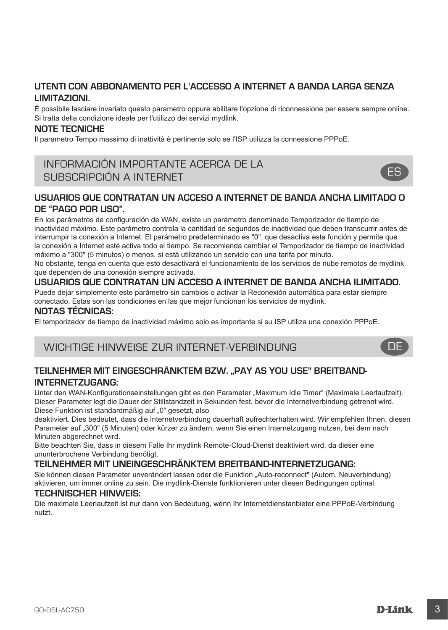### **UTENTI CON ABBONAMENTO PER L'ACCESSO A INTERNET A BANDA LARGA SENZA LIMITAZIONI.**

È possibile lasciare invariato questo parametro oppure abilitare l'opzione di riconnessione per essere sempre online. Si tratta della condizione ideale per l'utilizzo dei servizi mydlink.

#### **NOTE TECNICHE**

Il parametro Tempo massimo di inattività è pertinente solo se l'ISP utilizza la connessione PPPoE.

## INFORMACIÓN IMPORTANTE ACERCA DE LA SUBSCRIPCIÓN A INTERNET



### **USUARIOS QUE CONTRATAN UN ACCESO A INTERNET DE BANDA ANCHA LIMITADO O DE "PAGO POR USO".**

En los parámetros de configuración de WAN, existe un parámetro denominado Temporizador de tiempo de inactividad máximo. Este parámetro controla la cantidad de segundos de inactividad que deben transcurrir antes de interrumpir la conexión a Internet. El parámetro predeterminado es "0", que desactiva esta función y permite que la conexión a Internet esté activa todo el tiempo. Se recomienda cambiar el Temporizador de tiempo de inactividad máximo a "300" (5 minutos) o menos, si está utilizando un servicio con una tarifa por minuto.

No obstante, tenga en cuenta que esto desactivará el funcionamiento de los servicios de nube remotos de mydlink que dependen de una conexión siempre activada.

#### **USUARIOS QUE CONTRATAN UN ACCESO A INTERNET DE BANDA ANCHA ILIMITADO.**

Puede dejar simplemente este parámetro sin cambios o activar la Reconexión automática para estar siempre conectado. Estas son las condiciones en las que mejor funcionan los servicios de mydlink.

#### **NOTAS TÉCNICAS:**

El temporizador de tiempo de inactividad máximo solo es importante si su ISP utiliza una conexión PPPoE.

### WICHTIGE HINWEISE ZUR INTERNET-VERBINDUNG

## **TEILNEHMER MIT EINGESCHRÄNKTEM BZW. "PAY AS YOU USE" BREITBAND-INTERNETZUGANG:**

Unter den WAN-Konfigurationseinstellungen gibt es den Parameter "Maximum Idle Timer" (Maximale Leerlaufzeit). Dieser Parameter legt die Dauer der Stillstandzeit in Sekunden fest, bevor die Internetverbindung getrennt wird. Diese Funktion ist standardmäßig auf "0" gesetzt, also

deaktiviert. Dies bedeutet, dass die Internetverbindung dauerhaft aufrechterhalten wird. Wir empfehlen Ihnen, diesen Parameter auf "300" (5 Minuten) oder kürzer zu ändern, wenn Sie einen Internetzugang nutzen, bei dem nach Minuten abgerechnet wird.

Bitte beachten Sie, dass in diesem Falle Ihr mydlink Remote-Cloud-Dienst deaktiviert wird, da dieser eine ununterbrochene Verbindung benötigt.

#### **TEILNEHMER MIT UNEINGESCHRÄNKTEM BREITBAND-INTERNETZUGANG:**

Sie können diesen Parameter unverändert lassen oder die Funktion "Auto-reconnect" (Autom. Neuverbindung) aktivieren, um immer online zu sein. Die mydlink-Dienste funktionieren unter diesen Bedingungen optimal.

#### **TECHNISCHER HINWEIS:**

Die maximale Leerlaufzeit ist nur dann von Bedeutung, wenn Ihr Internetdienstanbieter eine PPPoE-Verbindung nutzt.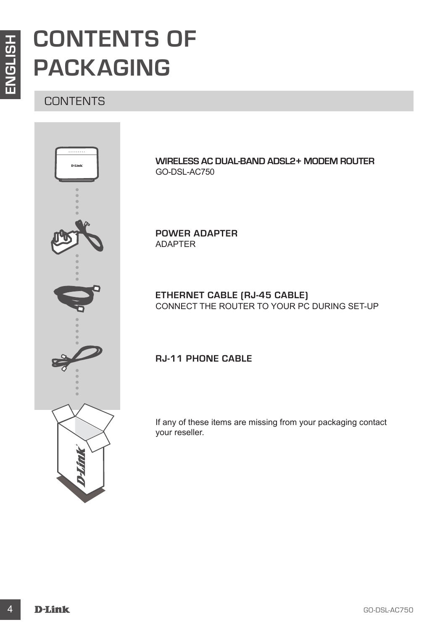# **CONTENTS OF PACKAGING**

## **CONTENTS**



**WIRELESS AC DUAL-BAND ADSL2+ MODEM ROUTER** GO-DSL-AC750

**POWER ADAPTER** ADAPTER

**ETHERNET CABLE (RJ-45 CABLE)** CONNECT THE ROUTER TO YOUR PC DURING SET-UP

## **RJ-11 PHONE CABLE**

If any of these items are missing from your packaging contact your reseller.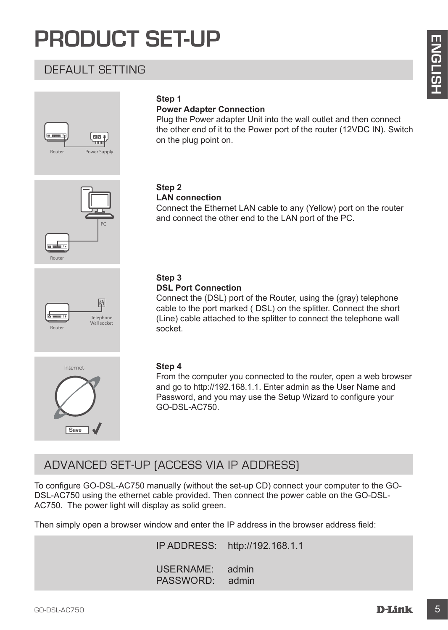# **PRODUCT SET-UP**

## DEFAULT SETTING



### **Step 1**

#### **Power Adapter Connection**

Plug the Power adapter Unit into the wall outlet and then connect the other end of it to the Power port of the router (12VDC IN). Switch on the plug point on.





Connect the Ethernet LAN cable to any (Yellow) port on the router and connect the other end to the LAN port of the PC.



#### **Step 3 DSL Port Connection**

Connect the (DSL) port of the Router, using the (gray) telephone cable to the port marked ( DSL) on the splitter. Connect the short (Line) cable attached to the splitter to connect the telephone wall socket.



### **Step 4**

From the computer you connected to the router, open a web browser and go to http://192.168.1.1. Enter admin as the User Name and Password, and you may use the Setup Wizard to configure your GO-DSL-AC750.

## ADVANCED SET-UP (ACCESS VIA IP ADDRESS)

**CHEATING**<br>
Step 1<br>
Progress Adapter Connection<br>
Progress Adapter Connection<br>
Progress and progress and progress that<br>
the *Provis* and progress the brown port of the notiet (12VDC iN) Switch<br>
The other exist of the Diver To configure GO-DSL-AC750 manually (without the set-up CD) connect your computer to the GO-DSL-AC750 using the ethernet cable provided. Then connect the power cable on the GO-DSL-AC750. The power light will display as solid green.

Then simply open a browser window and enter the IP address in the browser address field:

IP ADDRESS: http://192.168.1.1

USERNAME: admin PASSWORD: admin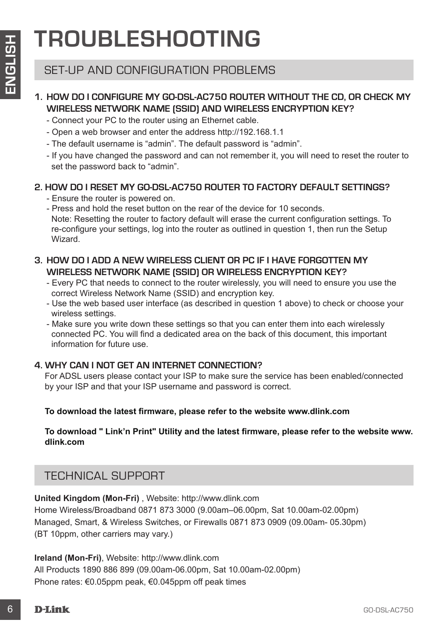# **TROUBLESHOOTING**

## SET-UP AND CONFIGURATION PROBLEMS

## **1. HOW DO I CONFIGURE MY GO-DSL-AC750 ROUTER WITHOUT THE CD, OR CHECK MY WIRELESS NETWORK NAME (SSID) AND WIRELESS ENCRYPTION KEY?**

- Connect your PC to the router using an Ethernet cable.
- Open a web browser and enter the address http://192.168.1.1
- The default username is "admin". The default password is "admin".
- If you have changed the password and can not remember it, you will need to reset the router to set the password back to "admin".

## **2. HOW DO I RESET MY GO-DSL-AC750 ROUTER TO FACTORY DEFAULT SETTINGS?**

- Ensure the router is powered on.

- Press and hold the reset button on the rear of the device for 10 seconds. Note: Resetting the router to factory default will erase the current configuration settings. To re-configure your settings, log into the router as outlined in question 1, then run the Setup Wizard.

## **3. HOW DO I ADD A NEW WIRELESS CLIENT OR PC IF I HAVE FORGOTTEN MY WIRELESS NETWORK NAME (SSID) OR WIRELESS ENCRYPTION KEY?**

- Every PC that needs to connect to the router wirelessly, you will need to ensure you use the correct Wireless Network Name (SSID) and encryption key.
- Use the web based user interface (as described in question 1 above) to check or choose your wireless settings.

- Make sure you write down these settings so that you can enter them into each wirelessly connected PC. You will find a dedicated area on the back of this document, this important information for future use.

## **4. WHY CAN I NOT GET AN INTERNET CONNECTION?**

For ADSL users please contact your ISP to make sure the service has been enabled/connected by your ISP and that your ISP username and password is correct.

### **To download the latest firmware, please refer to the website www.dlink.com**

### **To download " Link'n Print" Utility and the latest firmware, please refer to the website www. dlink.com**

## TECHNICAL SUPPORT

**EXECTS AND CONFIGURATION PROBLEMS**<br>
SET-UP AND CONFIGURATION PROBLEMS<br>
SET-UP AND CONFIGURATION PROBLEMS<br>
WIRELESS NETWORK NAME (SDD) AND WIRELESS ENCRYPTION KEY?<br>
WIRELESS NETWORK NAME (SDD) AND WIRELESS INCRYPTION KEY?<br> **United Kingdom (Mon-Fri)** , Website: http://www.dlink.com Home Wireless/Broadband 0871 873 3000 (9.00am–06.00pm, Sat 10.00am-02.00pm) Managed, Smart, & Wireless Switches, or Firewalls 0871 873 0909 (09.00am- 05.30pm) (BT 10ppm, other carriers may vary.)

**Ireland (Mon-Fri)**, Website: http://www.dlink.com All Products 1890 886 899 (09.00am-06.00pm, Sat 10.00am-02.00pm) Phone rates: €0.05ppm peak, €0.045ppm off peak times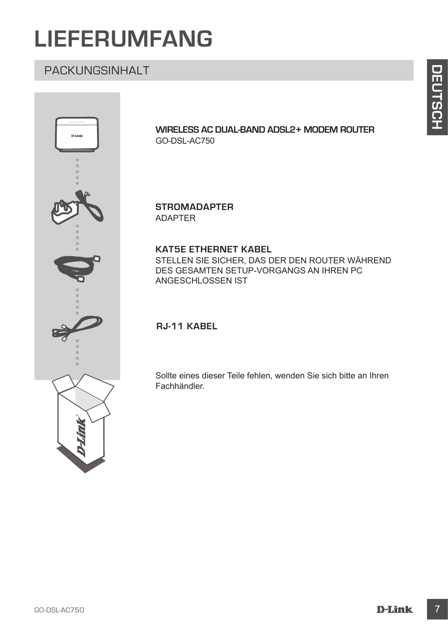# **LIEFERUMFANG**

## PACKUNGSINHALT



**WIRELESS AC DUAL-BAND ADSL2+ MODEM ROUTER** GO-DSL-AC750

**STROMADAPTER** ADAPTER

### **KAT5E ETHERNET KABEL**

STELLEN SIE SICHER, DAS DER DEN ROUTER WÄHREND DES GESAMTEN SETUP-VORGANGS AN IHREN PC ANGESCHLOSSEN IST

**RJ-11 KABEL** 

Sollte eines dieser Teile fehlen, wenden Sie sich bitte an Ihren Fachhändler.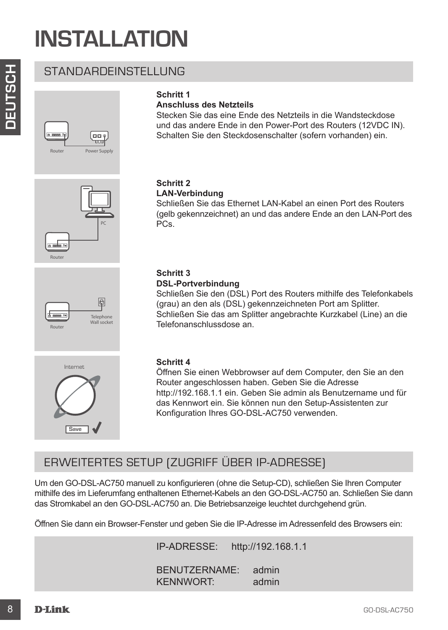# **INSTALLATION**

STANDARDEINSTELLUNG





## **Anschluss des Netzteils**

Stecken Sie das eine Ende des Netzteils in die Wandsteckdose und das andere Ende in den Power-Port des Routers (12VDC IN). Schalten Sie den Steckdosenschalter (sofern vorhanden) ein.







# **Telephone** Wall socket<br>Router



#### **Schritt 2 LAN-Verbindung**

Schließen Sie das Ethernet LAN-Kabel an einen Port des Routers (gelb gekennzeichnet) an und das andere Ende an den LAN-Port des PCs.

### **Schritt 3 DSL-Portverbindung**

Schließen Sie den (DSL) Port des Routers mithilfe des Telefonkabels (grau) an den als (DSL) gekennzeichneten Port am Splitter. Schließen Sie das am Splitter angebrachte Kurzkabel (Line) an die Telefonanschlussdose an.

#### **Schritt 4**

STANDARDEINSTELLUNG<br>
Schrift 1<br>
Anchel as Netztella<br>
Anchel as Atentalis and State Produce Post discussions of the State Produce Post discussions (2010 R)<br>
Schrift 2<br>
Comparison State Data State Consistent (Soften victoriz Öffnen Sie einen Webbrowser auf dem Computer, den Sie an den Router angeschlossen haben. Geben Sie die Adresse http://192.168.1.1 ein. Geben Sie admin als Benutzername und für das Kennwort ein. Sie können nun den Setup-Assistenten zur Konfiguration Ihres GO-DSL-AC750 verwenden.

## ERWEITERTES SETUP (ZUGRIFF ÜBER IP-ADRESSE)

Um den GO-DSL-AC750 manuell zu konfigurieren (ohne die Setup-CD), schließen Sie Ihren Computer mithilfe des im Lieferumfang enthaltenen Ethernet-Kabels an den GO-DSL-AC750 an. Schließen Sie dann das Stromkabel an den GO-DSL-AC750 an. Die Betriebsanzeige leuchtet durchgehend grün.

Öffnen Sie dann ein Browser-Fenster und geben Sie die IP-Adresse im Adressenfeld des Browsers ein:

IP-ADRESSE: http://192.168.1.1

BENUTZERNAME: admin KENNWORT: admin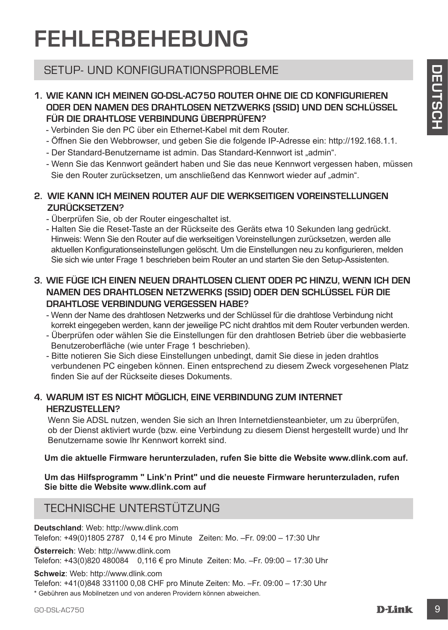# **FEHLERBEHEBUNG**

## SETUP- UND KONFIGURATIONSPROBLEME

### **1. WIE KANN ICH MEINEN GO-DSL-AC750 ROUTER OHNE DIE CD KONFIGURIEREN ODER DEN NAMEN DES DRAHTLOSEN NETZWERKS (SSID) UND DEN SCHLÜSSEL FÜR DIE DRAHTLOSE VERBINDUNG ÜBERPRÜFEN?**

- Verbinden Sie den PC über ein Ethernet-Kabel mit dem Router.
- Öffnen Sie den Webbrowser, und geben Sie die folgende IP-Adresse ein: http://192.168.1.1.
- Der Standard-Benutzername ist admin. Das Standard-Kennwort ist "admin".
- Wenn Sie das Kennwort geändert haben und Sie das neue Kennwort vergessen haben, müssen Sie den Router zurücksetzen, um anschließend das Kennwort wieder auf "admin".

### **2. WIE KANN ICH MEINEN ROUTER AUF DIE WERKSEITIGEN VOREINSTELLUNGEN ZURÜCKSETZEN?**

- Überprüfen Sie, ob der Router eingeschaltet ist.
- SETUP- UND KONFIGURATIONSPROBLEME<br>
T. WE KANN ICH MEINEN ROOBS. AC750 POUTER OHNE DIE CD KONFIGUREREN<br>
TOOR DER DEN NAMEN DES DRAHTLOSEN NETZWERKS (SSID) UND DEN SCHLUSSEL<br>
FOR DIE DRAHTLOSEN VERTAINDANCE UNDER PROFIEN ROO - Halten Sie die Reset-Taste an der Rückseite des Geräts etwa 10 Sekunden lang gedrückt. Hinweis: Wenn Sie den Router auf die werkseitigen Voreinstellungen zurücksetzen, werden alle aktuellen Konfigurationseinstellungen gelöscht. Um die Einstellungen neu zu konfigurieren, melden Sie sich wie unter Frage 1 beschrieben beim Router an und starten Sie den Setup-Assistenten.

## **3. WIE FÜGE ICH EINEN NEUEN DRAHTLOSEN CLIENT ODER PC HINZU, WENN ICH DEN NAMEN DES DRAHTLOSEN NETZWERKS (SSID) ODER DEN SCHLÜSSEL FÜR DIE DRAHTLOSE VERBINDLING VERGESSEN HABE?**

- Wenn der Name des drahtlosen Netzwerks und der Schlüssel für die drahtlose Verbindung nicht korrekt eingegeben werden, kann der jeweilige PC nicht drahtlos mit dem Router verbunden werden.
- Überprüfen oder wählen Sie die Einstellungen für den drahtlosen Betrieb über die webbasierte Benutzeroberfläche (wie unter Frage 1 beschrieben).
- Bitte notieren Sie Sich diese Einstellungen unbedingt, damit Sie diese in jeden drahtlos verbundenen PC eingeben können. Einen entsprechend zu diesem Zweck vorgesehenen Platz finden Sie auf der Rückseite dieses Dokuments.

## **4. WARUM IST ES NICHT MÖGLICH, EINE VERBINDUNG ZUM INTERNET HERZUSTELLEN?**

Wenn Sie ADSL nutzen, wenden Sie sich an Ihren Internetdiensteanbieter, um zu überprüfen, ob der Dienst aktiviert wurde (bzw. eine Verbindung zu diesem Dienst hergestellt wurde) und Ihr Benutzername sowie Ihr Kennwort korrekt sind.

**Um die aktuelle Firmware herunterzuladen, rufen Sie bitte die Website www.dlink.com auf.**

**Um das Hilfsprogramm " Link'n Print" und die neueste Firmware herunterzuladen, rufen Sie bitte die Website www.dlink.com auf**

## TECHNISCHE UNTERSTÜTZUNG

**Deutschland**: Web: http://www.dlink.com

Telefon: +49(0)1805 2787 0,14 € pro Minute Zeiten: Mo. –Fr. 09:00 – 17:30 Uhr

**Österreich**: Web: http://www.dlink.com

Telefon: +43(0)820 480084 0,116 € pro Minute Zeiten: Mo. –Fr. 09:00 – 17:30 Uhr

**Schweiz**: Web: http://www.dlink.com

Telefon: +41(0)848 331100 0,08 CHF pro Minute Zeiten: Mo. –Fr. 09:00 – 17:30 Uhr

\* Gebühren aus Mobilnetzen und von anderen Providern können abweichen.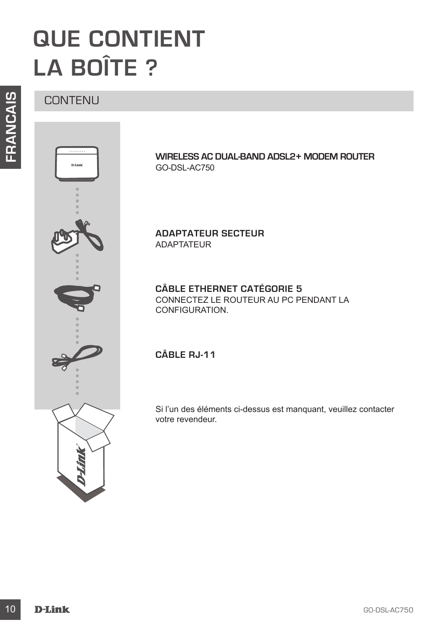# **QUE CONTIENT LA BOÎTE ?**

CONTENU



**WIRELESS AC DUAL-BAND ADSL2+ MODEM ROUTER** GO-DSL-AC750

**ADAPTATEUR SECTEUR**  ADAPTATEUR

**CÂBLE ETHERNET CATÉGORIE 5**  CONNECTEZ LE ROUTEUR AU PC PENDANT LA CONFIGURATION.

**CÂBLE RJ-11** 

Si l'un des éléments ci-dessus est manquant, veuillez contacter votre revendeur.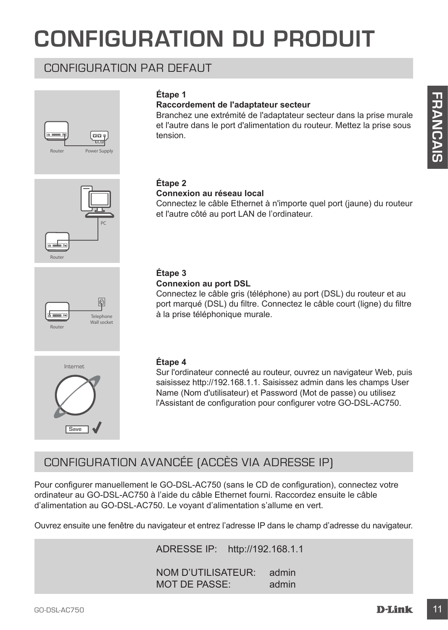# **CONFIGURATION DU PRODUIT**

## CONFIGURATION PAR DEFAUT





## **Raccordement de l'adaptateur secteur**

Branchez une extrémité de l'adaptateur secteur dans la prise murale et l'autre dans le port d'alimentation du routeur. Mettez la prise sous tension.





## **Connexion au réseau local**

Connectez le câble Ethernet à n'importe quel port (jaune) du routeur et l'autre côté au port LAN de l'ordinateur.



#### **Connexion au port DSL**

Connectez le câble gris (téléphone) au port (DSL) du routeur et au port marqué (DSL) du filtre. Connectez le câble court (ligne) du filtre à la prise téléphonique murale.



**Telephone** Wall socket<br>Router

#### **Étape 4**

Sur l'ordinateur connecté au routeur, ouvrez un navigateur Web, puis saisissez http://192.168.1.1. Saisissez admin dans les champs User Name (Nom d'utilisateur) et Password (Mot de passe) ou utilisez l'Assistant de configuration pour configurer votre GO-DSL-AC750.

## CONFIGURATION AVANCÉE (ACCÈS VIA ADRESSE IP)

Earth **Controlled Fatherists (and Fatherists and Fatherists (and Fatherists and Fatherists and Fatherists and Fatherist Controlled Fathering Controlled Fathering Controlled Fathering Controlled Fathering Controlled Fatheri** Pour configurer manuellement le GO-DSL-AC750 (sans le CD de configuration), connectez votre ordinateur au GO-DSL-AC750 à l'aide du câble Ethernet fourni. Raccordez ensuite le câble d'alimentation au GO-DSL-AC750. Le voyant d'alimentation s'allume en vert.

Ouvrez ensuite une fenêtre du navigateur et entrez l'adresse IP dans le champ d'adresse du navigateur.

ADRESSE IP: http://192.168.1.1

NOM D'UTILISATEUR: admin MOT DE PASSE: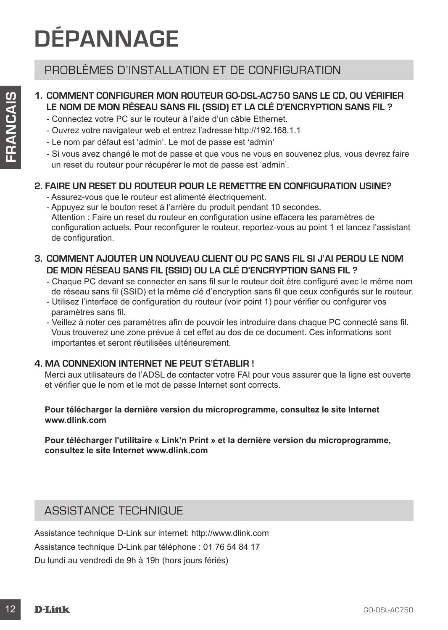# **DÉPANNAGE**

## PROBLÈMES D'INSTALLATION ET DE CONFIGURATION

## **1. COMMENT CONFIGURER MON ROUTEUR GO-DSL-AC750 SANS LE CD, OU VÉRIFIER LE NOM DE MON RÉSEAU SANS FIL (SSID) ET LA CLÉ D'ENCRYPTION SANS FIL ?**

- Connectez votre PC sur le routeur à l'aide d'un câble Ethernet.
- Ouvrez votre navigateur web et entrez l'adresse http://192.168.1.1
- Le nom par défaut est 'admin'. Le mot de passe est 'admin'
- Si vous avez changé le mot de passe et que vous ne vous en souvenez plus, vous devrez faire un reset du routeur pour récupérer le mot de passe est 'admin'.

### **2. FAIRE UN RESET DU ROUTEUR POUR LE REMETTRE EN CONFIGURATION USINE?**

- Assurez-vous que le routeur est alimenté électriquement.
- 12 COMMENT CONFIGUER MON ROUTEUR GOGELACT250 SANS ELE CO, OU VERIFIER<br>
Comedia veriva de Sin de Varia Veriva de Sin de Varia Veriva de Sin de Varia Veriva de Varia Veriva de Varia Veriva de Varia Veriva de Varia Veriva de - Appuyez sur le bouton reset à l'arrière du produit pendant 10 secondes. Attention : Faire un reset du routeur en configuration usine effacera les paramètres de configuration actuels. Pour reconfigurer le routeur, reportez-vous au point 1 et lancez l'assistant de configuration.
	- **3. COMMENT AJOUTER UN NOUVEAU CLIENT OU PC SANS FIL SI J'AI PERDU LE NOM DE MON RÉSEAU SANS FIL (SSID) OU LA CLÉ D'ENCRYPTION SANS FIL ?**
		- Chaque PC devant se connecter en sans fil sur le routeur doit être configuré avec le même nom de réseau sans fil (SSID) et la même clé d'encryption sans fil que ceux configurés sur le routeur. - Utilisez l'interface de configuration du routeur (voir point 1) pour vérifier ou configurer vos
		- paramètres sans fil.
		- Veillez à noter ces paramètres afin de pouvoir les introduire dans chaque PC connecté sans fil. Vous trouverez une zone prévue à cet effet au dos de ce document. Ces informations sont importantes et seront réutilisées ultérieurement.

### **4. MA CONNEXION INTERNET NE PEUT S'ÉTABLIR !**

Merci aux utilisateurs de l'ADSL de contacter votre FAI pour vous assurer que la ligne est ouverte et vérifier que le nom et le mot de passe Internet sont corrects.

#### **Pour télécharger la dernière version du microprogramme, consultez le site Internet www.dlink.com**

**Pour télécharger l'utilitaire « Link'n Print » et la dernière version du microprogramme, consultez le site Internet www.dlink.com**

## ASSISTANCE TECHNIQUE

Assistance technique D-Link sur internet: http://www.dlink.com Assistance technique D-Link par téléphone : 01 76 54 84 17 Du lundi au vendredi de 9h à 19h (hors jours fériés)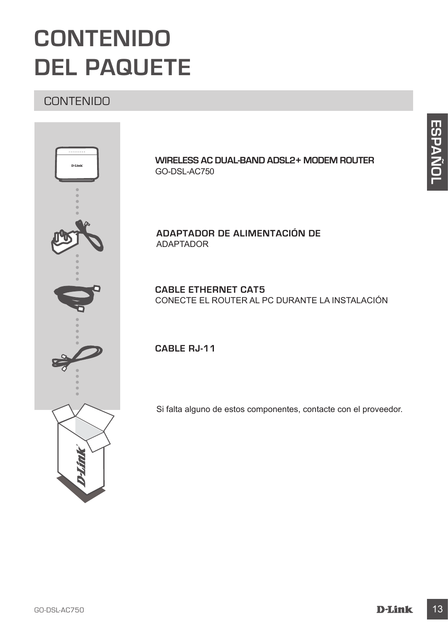# **CONTENIDO DEL PAQUETE**

## **CONTENIDO**



**WIRELESS AC DUAL-BAND ADSL2+ MODEM ROUTER** GO-DSL-AC750

**ADAPTADOR DE ALIMENTACIÓN DE**  ADAPTADOR

**CABLE ETHERNET CAT5** CONECTE EL ROUTER AL PC DURANTE LA INSTALACIÓN

**CABLE RJ-11**

Si falta alguno de estos componentes, contacte con el proveedor.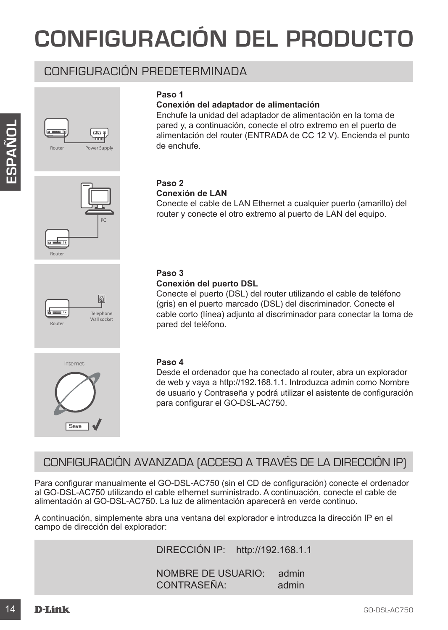# **CONFIGURACIÓN DEL PRODUCTO**

## CONFIGURACIÓN PREDETERMINADA





Router



## **Paso 1**

#### **Conexión del adaptador de alimentación**

Enchufe la unidad del adaptador de alimentación en la toma de pared y, a continuación, conecte el otro extremo en el puerto de alimentación del router (ENTRADA de CC 12 V). Encienda el punto de enchufe.

## **Paso 2**

#### **Conexión de LAN**

Conecte el cable de LAN Ethernet a cualquier puerto (amarillo) del router y conecte el otro extremo al puerto de LAN del equipo.

### **Paso 3**

#### **Conexión del puerto DSL**

**Example a** control on concerte to boto externo en a period o series and the control of the control of the control of the control of the control of the control of the control of the control of the control of the control o Conecte el puerto (DSL) del router utilizando el cable de teléfono (gris) en el puerto marcado (DSL) del discriminador. Conecte el cable corto (línea) adjunto al discriminador para conectar la toma de pared del teléfono.

#### **Paso 4**

Desde el ordenador que ha conectado al router, abra un explorador de web y vaya a http://192.168.1.1. Introduzca admin como Nombre de usuario y Contraseña y podrá utilizar el asistente de configuración para configurar el GO-DSL-AC750.

## CONFIGURACIÓN AVANZADA (ACCESO A TRAVÉS DE LA DIRECCIÓN IP)

Para configurar manualmente el GO-DSL-AC750 (sin el CD de configuración) conecte el ordenador al GO-DSL-AC750 utilizando el cable ethernet suministrado. A continuación, conecte el cable de alimentación al GO-DSL-AC750. La luz de alimentación aparecerá en verde continuo.

A continuación, simplemente abra una ventana del explorador e introduzca la dirección IP en el campo de dirección del explorador:

DIRECCIÓN IP: http://192.168.1.1

NOMBRE DE USUARIO: admin CONTRASEÑA: admin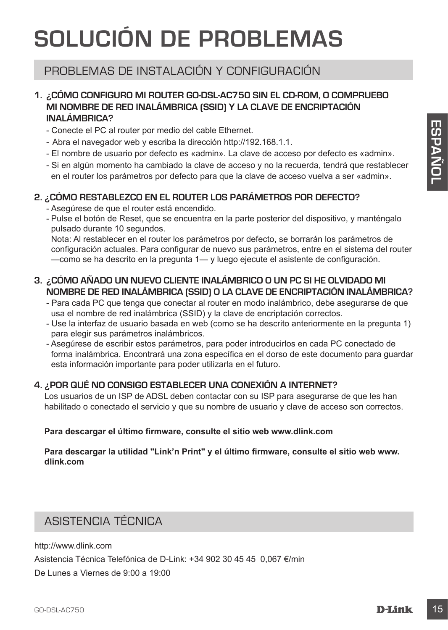# **SOLUCIÓN DE PROBLEMAS**

## PROBLEMAS DE INSTALACIÓN Y CONFIGURACIÓN

## **1. ¿CÓMO CONFIGURO MI ROUTER GO-DSL-AC750 SIN EL CD-ROM, O COMPRUEBO MI NOMBRE DE RED INALÁMBRICA (SSID) Y LA CLAVE DE ENCRIPTACIÓN INALÁMBRICA?**

- Conecte el PC al router por medio del cable Ethernet.
- Abra el navegador web y escriba la dirección http://192.168.1.1.
- El nombre de usuario por defecto es «admin». La clave de acceso por defecto es «admin».
- Si en algún momento ha cambiado la clave de acceso y no la recuerda, tendrá que restablecer en el router los parámetros por defecto para que la clave de acceso vuelva a ser «admin».

## **2. ¿CÓMO RESTABLEZCO EN EL ROUTER LOS PARÁMETROS POR DEFECTO?**

- Asegúrese de que el router está encendido.
- Pulse el botón de Reset, que se encuentra en la parte posterior del dispositivo, y manténgalo pulsado durante 10 segundos.

Nota: Al restablecer en el router los parámetros por defecto, se borrarán los parámetros de configuración actuales. Para configurar de nuevo sus parámetros, entre en el sistema del router —como se ha descrito en la pregunta 1— y luego ejecute el asistente de configuración.

## **3. ¿CÓMO AÑADO UN NUEVO CLIENTE INALÁMBRICO O UN PC SI HE OLVIDADO MI NOMBRE DE RED INALÁMBRICA (SSID) O LA CLAVE DE ENCRIPTACIÓN INALÁMBRICA?**

- Para cada PC que tenga que conectar al router en modo inalámbrico, debe asegurarse de que usa el nombre de red inalámbrica (SSID) y la clave de encriptación correctos.
- Use la interfaz de usuario basada en web (como se ha descrito anteriormente en la pregunta 1) para elegir sus parámetros inalámbricos.
- Channel PC all rotate per medio del cable Elbennett<br>
 Channel all ravegador web y seroiba da disencido http://192.168.1.1<br>
 Eli nombre de usuario por defecto es «admin». La disence de escesso por defecto es «admin».<br>
-- Asegúrese de escribir estos parámetros, para poder introducirlos en cada PC conectado de forma inalámbrica. Encontrará una zona específica en el dorso de este documento para guardar esta información importante para poder utilizarla en el futuro.

## **4. ¿POR QUÉ NO CONSIGO ESTABLECER UNA CONEXIÓN A INTERNET?**

Los usuarios de un ISP de ADSL deben contactar con su ISP para asegurarse de que les han habilitado o conectado el servicio y que su nombre de usuario y clave de acceso son correctos.

## **Para descargar el último firmware, consulte el sitio web www.dlink.com**

**Para descargar la utilidad "Link'n Print" y el último firmware, consulte el sitio web www. dlink.com**

## ASISTENCIA TÉCNICA

http://www.dlink.com

Asistencia Técnica Telefónica de D-Link: +34 902 30 45 45 0,067 €/min

De Lunes a Viernes de 9:00 a 19:00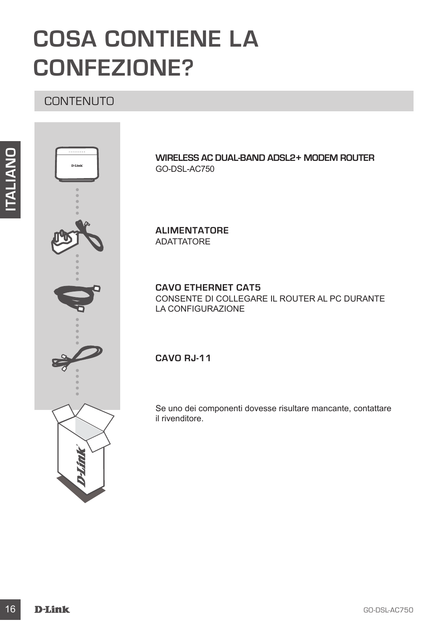# **COSA CONTIENE LA CONFEZIONE?**

## **CONTENUTO**



**WIRELESS AC DUAL-BAND ADSL2+ MODEM ROUTER** GO-DSL-AC750

**ALIMENTATORE**  ADATTATORE

## **CAVO ETHERNET CAT5**

CONSENTE DI COLLEGARE IL ROUTER AL PC DURANTE LA CONFIGURAZIONE

**CAVO RJ-11**

Se uno dei componenti dovesse risultare mancante, contattare il rivenditore.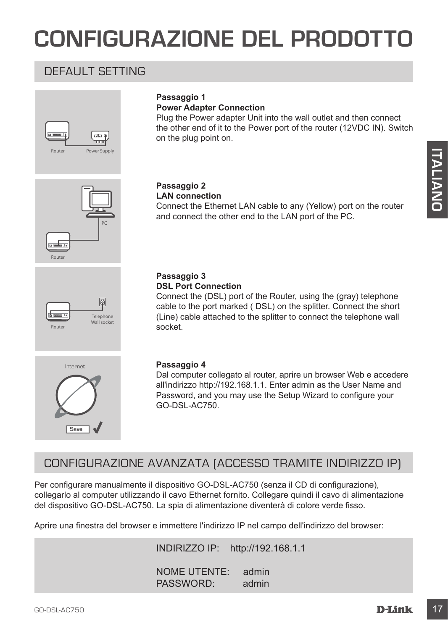# **CONFIGURAZIONE DEL PRODOTTO**

## DEFAULT SETTING



#### **Passaggio 1 Power Adapter Connection**

Plug the Power adapter Unit into the wall outlet and then connect the other end of it to the Power port of the router (12VDC IN). Switch on the plug point on.

Connect the Ethernet LAN cable to any (Yellow) port on the router

and connect the other end to the LAN port of the PC.





## **Passaggio 3**

**Passaggio 2 LAN connection**

#### **DSL Port Connection**

Connect the (DSL) port of the Router, using the (gray) telephone cable to the port marked ( DSL) on the splitter. Connect the short (Line) cable attached to the splitter to connect the telephone wall socket.



#### **Passaggio 4**

Dal computer collegato al router, aprire un browser Web e accedere all'indirizzo http://192.168.1.1. Enter admin as the User Name and Password, and you may use the Setup Wizard to configure your GO-DSL-AC750.

## CONFIGURAZIONE AVANZATA (ACCESSO TRAMITE INDIRIZZO IP)

Passaggio 2<br>
Connect the Ethernet LAN cable to any (Yellow) port on the router<br>
and connect the other end to the LAN port of the PC.<br>
Connect the other end to the LAN port of the PC.<br>
Connect the CSL port connect the stoat Per configurare manualmente il dispositivo GO-DSL-AC750 (senza il CD di configurazione), collegarlo al computer utilizzando il cavo Ethernet fornito. Collegare quindi il cavo di alimentazione del dispositivo GO-DSL-AC750. La spia di alimentazione diventerà di colore verde fisso.

Aprire una finestra del browser e immettere l'indirizzo IP nel campo dell'indirizzo del browser:

INDIRIZZO IP: http://192.168.1.1

NOME UTENTE: admin PASSWORD: admin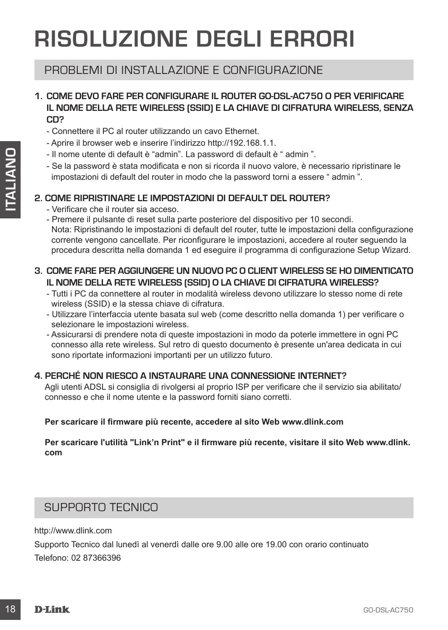# **RISOLUZIONE DEGLI ERRORI**

## PROBLEMI DI INSTALLAZIONE E CONFIGURAZIONE

### **1. COME DEVO FARE PER CONFIGURARE IL ROUTER GO-DSL-AC750 O PER VERIFICARE IL NOME DELLA RETE WIRELESS (SSID) E LA CHIAVE DI CIFRATURA WIRELESS, SENZA CD?**

- Connettere il PC al router utilizzando un cavo Ethernet.
- Aprire il browser web e inserire l'indirizzo http://192.168.1.1.
- Il nome utente di default è "admin". La password di default è " admin ".
- Se la password è stata modificata e non si ricorda il nuovo valore, è necessario ripristinare le impostazioni di default del router in modo che la password torni a essere " admin ".

## **2. COME RIPRISTINARE LE IMPOSTAZIONI DI DEFAULT DEL ROUTER?**

- Verificare che il router sia acceso.
- 19 Conne telem de diferamin': La password diferamin': a cassario contents differamin's constanting the mattern of the telem in model of the password formination is expected in model the password formination of the passwo - Premere il pulsante di reset sulla parte posteriore del dispositivo per 10 secondi. Nota: Ripristinando le impostazioni di default del router, tutte le impostazioni della configurazione corrente vengono cancellate. Per riconfigurare le impostazioni, accedere al router seguendo la procedura descritta nella domanda 1 ed eseguire il programma di configurazione Setup Wizard.

## **3. COME FARE PER AGGIUNGERE UN NUOVO PC O CLIENT WIRELESS SE HO DIMENTICATO IL NOME DELLA RETE WIRELESS (SSID) O LA CHIAVE DI CIFRATURA WIRELESS?**

- Tutti i PC da connettere al router in modalità wireless devono utilizzare lo stesso nome di rete wireless (SSID) e la stessa chiave di cifratura.
- Utilizzare l'interfaccia utente basata sul web (come descritto nella domanda 1) per verificare o selezionare le impostazioni wireless.
- Assicurarsi di prendere nota di queste impostazioni in modo da poterle immettere in ogni PC connesso alla rete wireless. Sul retro di questo documento è presente un'area dedicata in cui sono riportate informazioni importanti per un utilizzo futuro.

### **4. PERCHÉ NON RIESCO A INSTAURARE UNA CONNESSIONE INTERNET?**

Agli utenti ADSL si consiglia di rivolgersi al proprio ISP per verificare che il servizio sia abilitato/ connesso e che il nome utente e la password forniti siano corretti.

### **Per scaricare il firmware più recente, accedere al sito Web www.dlink.com**

**Per scaricare l'utilità "Link'n Print" e il firmware più recente, visitare il sito Web www.dlink. com**

## SUPPORTO TECNICO

http://www.dlink.com

Supporto Tecnico dal lunedì al venerdì dalle ore 9.00 alle ore 19.00 con orario continuato Telefono: 02 87366396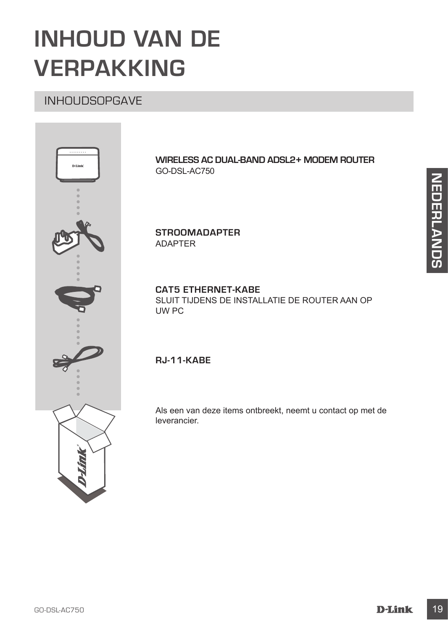# **INHOUD VAN DE VERPAKKING**

## INHOUDSOPGAVE



**WIRELESS AC DUAL-BAND ADSL2+ MODEM ROUTER** GO-DSL-AC750

**STROOMADAPTER** ADAPTER

### **CAT5 ETHERNET-KABE**

SLUIT TIJDENS DE INSTALLATIE DE ROUTER AAN OP UW PC

## **RJ-11-KABE**

Als een van deze items ontbreekt, neemt u contact op met de leverancier.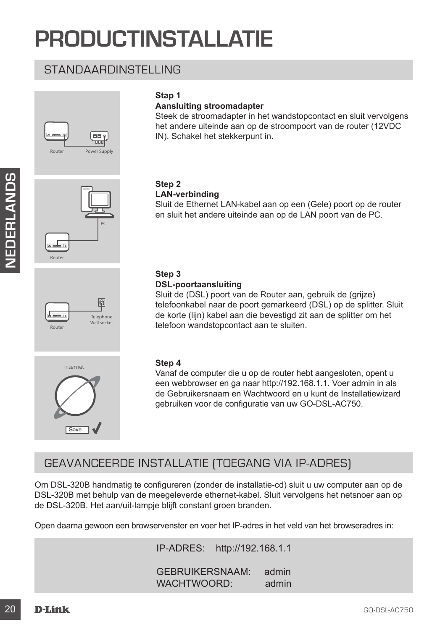# **PRODUCTINSTALLATIE**

## STANDAARDINSTELLING



## **Stap 1**

### **Aansluiting stroomadapter**

Steek de stroomadapter in het wandstopcontact en sluit vervolgens het andere uiteinde aan op de stroompoort van de router (12VDC IN). Schakel het stekkerpunt in.



# Telephone Wall socket<br>Router



#### **Step 2 LAN-verbinding**

### Sluit de Ethernet LAN-kabel aan op een (Gele) poort op de router en sluit het andere uiteinde aan op de LAN poort van de PC.

## **Step 3**

#### **DSL-poortaansluiting**

Sluit de (DSL) poort van de Router aan, gebruik de (grijze) telefoonkabel naar de poort gemarkeerd (DSL) op de splitter. Sluit de korte (lijn) kabel aan die bevestigd zit aan de splitter om het telefoon wandstopcontact aan te sluiten.

#### **Step 4**

Vanaf de computer die u op de router hebt aangesloten, opent u een webbrowser en ga naar http://192.168.1.1. Voer admin in als de Gebruikersnaam en Wachtwoord en u kunt de Installatiewizard gebruiken voor de configuratie van uw GO-DSL-AC750.

## GEAVANCEERDE INSTALLATIE (TOEGANG VIA IP-ADRES)

20<br>
20 GAL THE CHANNER CHANNER CHANNER CHANNER CHANNER CHANNER CHANNER CHANNER CHANNER CHANNER CHANNER CHANNER CHANNER CHANNER CHANNER CHANNER CHANNER CHANNER CHANNER CHANNEL CHANNEL CHANNEL CHANNEL CHANNEL CHANNEL CHANNE Om DSL-320B handmatig te configureren (zonder de installatie-cd) sluit u uw computer aan op de DSL-320B met behulp van de meegeleverde ethernet-kabel. Sluit vervolgens het netsnoer aan op de DSL-320B. Het aan/uit-lampje blijft constant groen branden.

Open daarna gewoon een browservenster en voer het IP-adres in het veld van het browseradres in:

IP-ADRES: http://192.168.1.1

GEBRUIKERSNAAM: admin WACHTWOORD: admin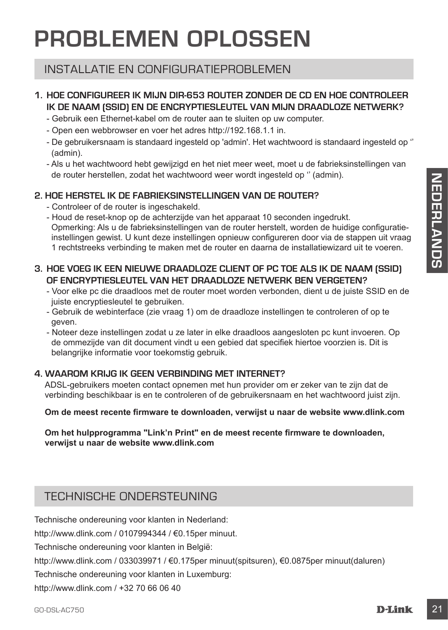# **PROBLEMEN OPLOSSEN**

## INSTALLATIE EN CONFIGURATIEPROBLEMEN

## **1. HOE CONFIGUREER IK MIJN DIR-653 ROUTER ZONDER DE CD EN HOE CONTROLEER IK DE NAAM (SSID) EN DE ENCRYPTIESLEUTEL VAN MIJN DRAADLOZE NETWERK?**

- Gebruik een Ethernet-kabel om de router aan te sluiten op uw computer.
- Open een webbrowser en voer het adres http://192.168.1.1 in.
- De gebruikersnaam is standaard ingesteld op 'admin'. Het wachtwoord is standaard ingesteld op '' (admin).
- Als u het wachtwoord hebt gewijzigd en het niet meer weet, moet u de fabrieksinstellingen van de router herstellen, zodat het wachtwoord weer wordt ingesteld op '' (admin).

## **2. HOE HERSTEL IK DE FABRIEKSINSTELLINGEN VAN DE ROUTER?**

- Controleer of de router is ingeschakeld.
- de four messenent, zoost net worthow on the worthow on the control messene of described on the controller of the controller of the controller configuration of the controller of the controller of the controller of the contr - Houd de reset-knop op de achterzijde van het apparaat 10 seconden ingedrukt. Opmerking: Als u de fabrieksinstellingen van de router herstelt, worden de huidige configuratieinstellingen gewist. U kunt deze instellingen opnieuw configureren door via de stappen uit vraag 1 rechtstreeks verbinding te maken met de router en daarna de installatiewizard uit te voeren.

### **3. HOE VOEG IK EEN NIEUWE DRAADLOZE CLIENT OF PC TOE ALS IK DE NAAM (SSID) OF ENCRYPTIESLEUTEL VAN HET DRAADLOZE NETWERK BEN VERGETEN?**

- Voor elke pc die draadloos met de router moet worden verbonden, dient u de juiste SSID en de juiste encryptiesleutel te gebruiken.
- Gebruik de webinterface (zie vraag 1) om de draadloze instellingen te controleren of op te geven.
- Noteer deze instellingen zodat u ze later in elke draadloos aangesloten pc kunt invoeren. Op de ommezijde van dit document vindt u een gebied dat specifiek hiertoe voorzien is. Dit is belangrijke informatie voor toekomstig gebruik.

## **4. WAAROM KRIJG IK GEEN VERBINDING MET INTERNET?**

ADSL-gebruikers moeten contact opnemen met hun provider om er zeker van te zijn dat de verbinding beschikbaar is en te controleren of de gebruikersnaam en het wachtwoord juist zijn.

#### **Om de meest recente firmware te downloaden, verwijst u naar de website www.dlink.com**

#### **Om het hulpprogramma "Link'n Print" en de meest recente firmware te downloaden, verwijst u naar de website www.dlink.com**

## TECHNISCHE ONDERSTEUNING

Technische ondereuning voor klanten in Nederland:

http://www.dlink.com / 0107994344 / €0.15per minuut.

Technische ondereuning voor klanten in België:

http://www.dlink.com / 033039971 / €0.175per minuut(spitsuren), €0.0875per minuut(daluren)

Technische ondereuning voor klanten in Luxemburg:

http://www.dlink.com / +32 70 66 06 40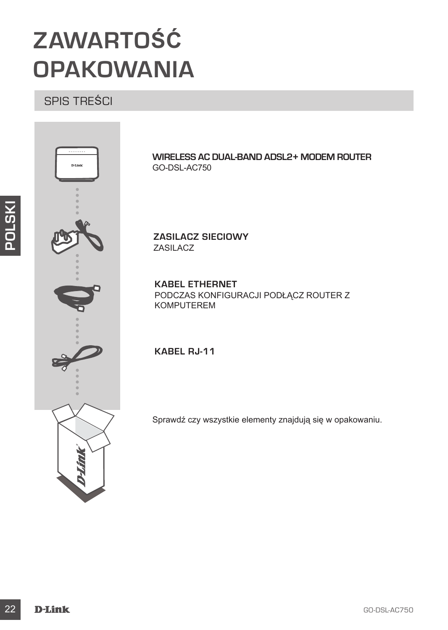# **ZAWARTOŚĆ OPAKOWANIA**

## SPIS TREŚCI



**WIRELESS AC DUAL-BAND ADSL2+ MODEM ROUTER** GO-DSL-AC750

**ZASILACZ SIECIOWY** ZASILACZ

**KABEL ETHERNET** PODCZAS KONFIGURACJI PODŁĄCZ ROUTER Z KOMPUTEREM

**KABEL RJ-11**

Sprawdź czy wszystkie elementy znajdują się w opakowaniu.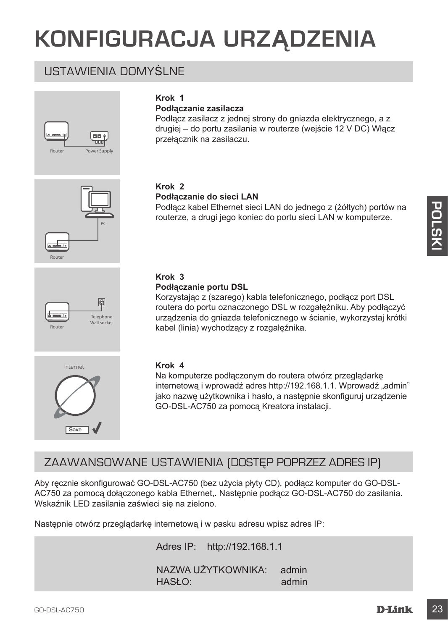# **KONFIGURACJA URZĄDZENIA**

**Podłączanie zasilacza**

przełącznik na zasilaczu.

**Krok 1**

## USTAWIENIA DOMYŚLNE







#### **Krok 2 Podłączanie do sieci LAN**

Podłącz kabel Ethernet sieci LAN do jednego z (żółtych) portów na routerze, a drugi jego koniec do portu sieci LAN w komputerze.

Podłącz zasilacz z jednej strony do gniazda elektrycznego, a z drugiej – do portu zasilania w routerze (wejście 12 V DC) Włącz



## **Krok 3**

#### **Podłączanie portu DSL**

Korzystając z (szarego) kabla telefonicznego, podłącz port DSL routera do portu oznaczonego DSL w rozgałęźniku. Aby podłączyć urządzenia do gniazda telefonicznego w ścianie, wykorzystaj krótki kabel (linia) wychodzący z rozgałęźnika.



#### **Krok 4**

Na komputerze podłączonym do routera otwórz przeglądarkę internetowa i wprowadź adres http://192.168.1.1. Wprowadź "admin" jako nazwę użytkownika i hasło, a następnie skonfiguruj urządzenie GO-DSL-AC750 za pomocą Kreatora instalacji.

## ZAAWANSOWANE USTAWIENIA (DOSTĘP POPRZEZ ADRES IP)

Podiącz kabel Ethernet sieci LAN do jednego z (żółtych) portów na<br>
routerze, a drugijego koniec do portu sieci LAN w komputerze.<br>
routerze, a drugijego koniec do portu sieci LAN w komputerze.<br>
Franceski a konservatija z Aby ręcznie skonfigurować GO-DSL-AC750 (bez użycia płyty CD), podłącz komputer do GO-DSL-AC750 za pomocą dołączonego kabla Ethernet,. Następnie podłącz GO-DSL-AC750 do zasilania. Wskaźnik LED zasilania zaświeci się na zielono.

Następnie otwórz przeglądarkę internetową i w pasku adresu wpisz adres IP:

Adres IP: http://192.168.1.1 NAZWA UŻYTKOWNIKA: admin HASŁO: admin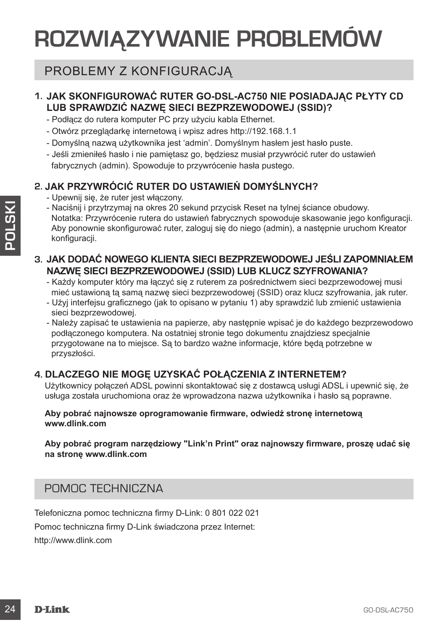# **ROZWIĄZYWANIE PROBLEMÓW**

## PROBLEMY Z KONFIGURACJĄ

## **1. JAK SKONFIGUROWAĆ RUTER GO-DSL-AC750 NIE POSIADAJĄC PŁYTY CD LUB SPRAWDZIĆ NAZWĘ SIECI BEZPRZEWODOWEJ (SSID)?**

- Podłącz do rutera komputer PC przy użyciu kabla Ethernet.
- Otwórz przeglądarkę internetową i wpisz adres http://192.168.1.1
- Domyślną nazwą użytkownika jest 'admin'. Domyślnym hasłem jest hasło puste.
- Jeśli zmieniłeś hasło i nie pamiętasz go, będziesz musiał przywrócić ruter do ustawień fabrycznych (admin). Spowoduje to przywrócenie hasła pustego.

## **2. JAK PRZYWRÓCIĆ RUTER DO USTAWIEŃ DOMYŚLNYCH?**

- Upewnij się, że ruter jest włączony.
- Naciśnij i przytrzymaj na okres 20 sekund przycisk Reset na tylnej ściance obudowy. Notatka: Przywrócenie rutera do ustawień fabrycznych spowoduje skasowanie jego konfiguracji. Aby ponownie skonfigurować ruter, zaloguj się do niego (admin), a następnie uruchom Kreator konfiguracji.
- **3. JAK DODAĆ NOWEGO KLIENTA SIECI BEZPRZEWODOWEJ JEŚLI ZAPOMNIAŁEM NAZWĘ SIECI BEZPRZEWODOWEJ (SSID) LUB KLUCZ SZYFROWANIA?**
	- Każdy komputer który ma łączyć się z ruterem za pośrednictwem sieci bezprzewodowej musi mieć ustawioną tą samą nazwę sieci bezprzewodowej (SSID) oraz klucz szyfrowania, jak ruter.
	- Użyj interfejsu graficznego (jak to opisano w pytaniu 1) aby sprawdzić lub zmienić ustawienia sieci bezprzewodowej.
- 2× Nacisni ji prizytzyma ji na kores 2 oskudnd przyciski Reset na tylnej ściarce obudowy<br>
26 Notalski prizytzyma ji na kores 20 sekud przyciski Reset na tylnej ściarce obudownie skonfiguracji.<br>
2. JAK DODAĆ NOWEGO KLIENT - Należy zapisać te ustawienia na papierze, aby następnie wpisać je do każdego bezprzewodowo podłączonego komputera. Na ostatniej stronie tego dokumentu znajdziesz specjalnie przygotowane na to miejsce. Są to bardzo ważne informacje, które będą potrzebne w przyszłości.

## **4. DLACZEGO NIE MOGĘ UZYSKAĆ POŁĄCZENIA Z INTERNETEM?**

Użytkownicy połączeń ADSL powinni skontaktować się z dostawcą usługi ADSL i upewnić się, że usługa została uruchomiona oraz że wprowadzona nazwa użytkownika i hasło są poprawne.

#### **Aby pobrać najnowsze oprogramowanie firmware, odwiedź stronę internetową www.dlink.com**

**Aby pobrać program narzędziowy "Link'n Print" oraz najnowszy firmware, proszę udać się na stronę www.dlink.com**

## POMOC TECHNICZNA

Telefoniczna pomoc techniczna firmy D-Link: 0 801 022 021 Pomoc techniczna firmy D-Link świadczona przez Internet: http://www.dlink.com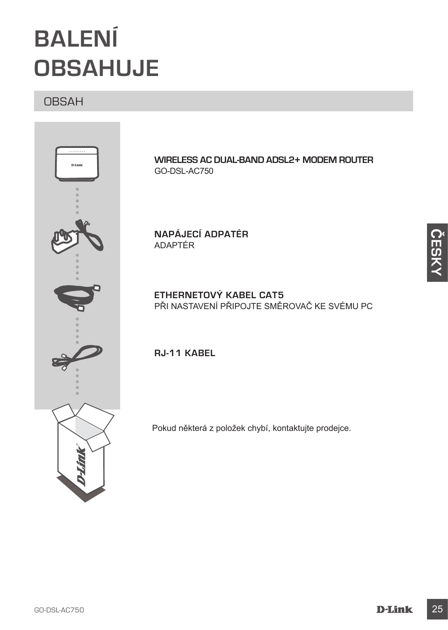# **BALENÍ OBSAHUJE**

## OBSAH



**WIRELESS AC DUAL-BAND ADSL2+ MODEM ROUTER** GO-DSL-AC750

**NAPÁJECÍ ADPATÉR** ADAPTÉR

**ETHERNETOVÝ KABEL CAT5**  PŘI NASTAVENÍ PŘIPOJTE SMĚROVAČ KE SVÉMU PC

**RJ-11 KABEL** 

Pokud některá z položek chybí, kontaktujte prodejce.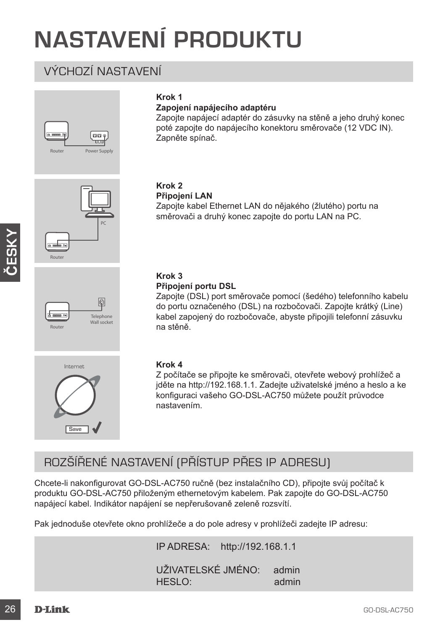# **NASTAVENÍ PRODUKTU**

**Krok 1**

**Zapojení napájecího adaptéru**

## VÝCHOZÍ NASTAVENÍ





**ČESKY**





#### **Krok 2 Připojení LAN**

Zapněte spínač.

Zapojte kabel Ethernet LAN do nějakého (žlutého) portu na směrovači a druhý konec zapojte do portu LAN na PC.

Zapojte napájecí adaptér do zásuvky na stěně a jeho druhý konec poté zapojte do napájecího konektoru směrovače (12 VDC IN).

### **Krok 3**

#### **Připojení portu DSL**

Zapojte (DSL) port směrovače pomocí (šedého) telefonního kabelu do portu označeného (DSL) na rozbočovači. Zapojte krátký (Line) kabel zapojený do rozbočovače, abyste připojili telefonní zásuvku na stěně.



#### **Krok 4**

Z počítače se připojte ke směrovači, otevřete webový prohlížeč a jděte na http://192.168.1.1. Zadejte uživatelské jméno a heslo a ke konfiguraci vašeho GO-DSL-AC750 můžete použít průvodce nastavením.

## ROZŠÍŘENÉ NASTAVENÍ (PŘÍSTUP PŘES IP ADRESU)

Chcete-li nakonfigurovat GO-DSL-AC750 ručně (bez instalačního CD), připojte svůj počítač k produktu GO-DSL-AC750 přiloženým ethernetovým kabelem. Pak zapojte do GO-DSL-AC750 napájecí kabel. Indikátor napájení se nepřerušovaně zeleně rozsvítí.

Pak jednoduše otevřete okno prohlížeče a do pole adresy v prohlížeči zadejte IP adresu:

IP ADRESA: http://192.168.1.1

UŽIVATELSKÉ JMÉNO: admin HESLO: admin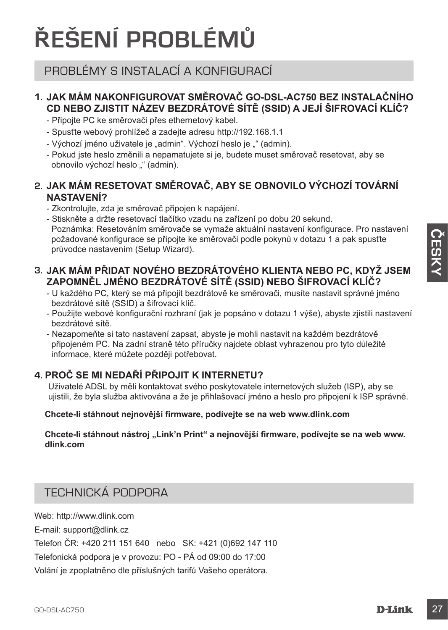# **ŘEŠENÍ PROBLÉMŮ**

## PROBLÉMY S INSTALACÍ A KONFIGURACÍ

## **1. JAK MÁM NAKONFIGUROVAT SMĚROVAČ GO-DSL-AC750 BEZ INSTALAČNÍHO CD NEBO ZJISTIT NÁZEV BEZDRÁTOVÉ SÍTĚ (SSID) A JEJÍ ŠIFROVACÍ KLÍČ?**

- Připojte PC ke směrovači přes ethernetový kabel.
- Spusťte webový prohlížeč a zadejte adresu http://192.168.1.1
- Výchozí jméno uživatele je "admin". Výchozí heslo je "" (admin).
- Pokud jste heslo změnili a nepamatujete si je, budete muset směrovač resetovat, aby se obnovilo výchozí heslo "" (admin).

## **2. JAK MÁM RESETOVAT SMĚROVAČ, ABY SE OBNOVILO VÝCHOZÍ TOVÁRNÍ NASTAVENÍ?**

- Zkontrolujte, zda je směrovač připojen k napájení.
- Stiskněte a držte resetovací tlačítko vzadu na zařízení po dobu 20 sekund. Poznámka: Resetováním směrovače se vymaže aktuální nastavení konfigurace. Pro nastavení

požadované konfigurace se připojte ke směrovači podle pokynů v dotazu 1 a pak spusťte průvodce nastavením (Setup Wizard).

## **3. JAK MÁM PŘIDAT NOVÉHO BEZDRÁTOVÉHO KLIENTA NEBO PC, KDYŽ JSEM ZAPOMNĚL JMÉNO BEZDRÁTOVÉ SÍTĚ (SSID) NEBO ŠIFROVACÍ KLÍČ?**

- U každého PC, který se má připojit bezdrátově ke směrovači, musíte nastavit správné jméno bezdrátové sítě (SSID) a šifrovací klíč.
- Použijte webové konfigurační rozhraní (jak je popsáno v dotazu 1 výše), abyste zjistili nastavení bezdrátové sítě.
- Nezapomeňte si tato nastavení zapsat, abyste je mohli nastavit na každém bezdrátově připojeném PC. Na zadní straně této příručky najdete oblast vyhrazenou pro tyto důležité informace, které můžete později potřebovat.

## **4. PROČ SE MI NEDAŘÍ PŘIPOJIT K INTERNETU?**

Uživatelé ADSL by měli kontaktovat svého poskytovatele internetových služeb (ISP), aby se ujistili, že byla služba aktivována a že je přihlašovací jméno a heslo pro připojení k ISP správné.

## **Chcete-li stáhnout nejnovější firmware, podívejte se na web www.dlink.com**

Chcete-li stáhnout nástroj "Link'n Print" a nejnovější firmware, podívejte se na web www. **dlink.com**

## TECHNICKÁ PODPORA

Web: http://www.dlink.com

E-mail: support@dlink.cz

Telefon ČR: +420 211 151 640 nebo SK: +421 (0)692 147 110

Telefonická podpora je v provozu: PO - PÁ od 09:00 do 17:00

Volání je zpoplatněno dle příslušných tarifů Vašeho operátora.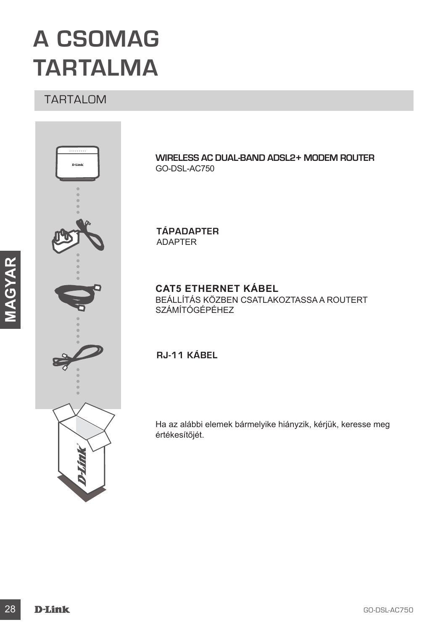# **A CSOMAG TARTALMA**

## TARTALOM



**WIRELESS AC DUAL-BAND ADSL2+ MODEM ROUTER** GO-DSL-AC750

**TÁPADAPTER** ADAPTER

## **CAT5 ETHERNET KÁBEL**

BEÁLLÍTÁS KÖZBEN CSATLAKOZTASSA A ROUTERT SZÁMÍTÓGÉPÉHEZ

**RJ-11 KÁBEL**

Ha az alábbi elemek bármelyike hiányzik, kérjük, keresse meg értékesítőjét.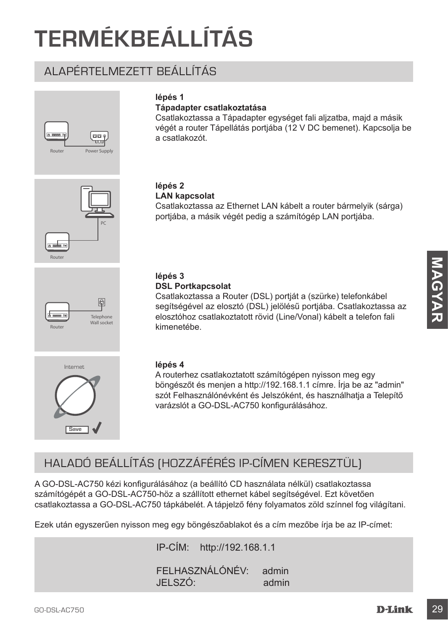# **TERMÉKBEÁLLÍTÁS**

## ALAPÉRTELMEZETT BEÁLLÍTÁS







## **lépés 1**

## **Tápadapter csatlakoztatása**

Csatlakoztassa a Tápadapter egységet fali aljzatba, majd a másik végét a router Tápellátás portjába (12 V DC bemenet). Kapcsolja be a csatlakozót.

#### **lépés 2 LAN kapcsolat**

Csatlakoztassa az Ethernet LAN kábelt a router bármelyik (sárga) portjába, a másik végét pedig a számítógép LAN portjába.

#### **lépés 3 DSL Portkapcsolat**

Csatlakoztassa a Router (DSL) portját a (szürke) telefonkábel segítségével az elosztó (DSL) jelölésű portjába. Csatlakoztassa az elosztóhoz csatlakoztatott rövid (Line/Vonal) kábelt a telefon fali kimenetébe.



### **lépés 4**

A routerhez csatlakoztatott számítógépen nyisson meg egy böngészőt és menjen a http://192.168.1.1 címre. Írja be az "admin" szót Felhasználónévként és Jelszóként, és használhatja a Telepítő varázslót a GO-DSL-AC750 konfigurálásához.

## HALADÓ BEÁLLÍTÁS (HOZZÁFÉRÉS IP-CÍMEN KERESZTÜL)

**Example 16 and 16 and 16 and 16 and 16 and 16 and 16 and 16 and 16 and 16 and 16 and 16 and 16 and 16 and 16 and 16 and 16 and 16 and 16 and 16 and 16 and 16 and 16 and 16 and 16 and 16 and 16 and 16 and 16 and 16 and 16** A GO-DSL-AC750 kézi konfigurálásához (a beállító CD használata nélkül) csatlakoztassa számítógépét a GO-DSL-AC750-höz a szállított ethernet kábel segítségével. Ezt követően csatlakoztassa a GO-DSL-AC750 tápkábelét. A tápjelző fény folyamatos zöld színnel fog világítani.

Ezek után egyszerűen nyisson meg egy böngészőablakot és a cím mezőbe írja be az IP-címet:

IP-CÍM: http://192.168.1.1

FELHASZNÁLÓNÉV: admin JELSZÓ: admin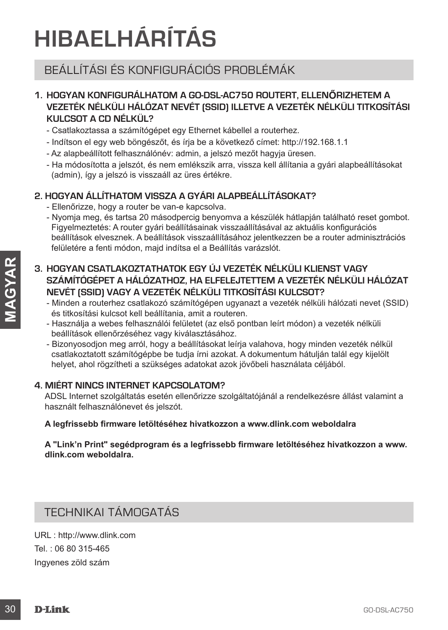# **HIBAELHÁRÍTÁS**

## BEÁLLÍTÁSI ÉS KONFIGURÁCIÓS PROBLÉMÁK

## **1. HOGYAN KONFIGURÁLHATOM A GO-DSL-AC750 ROUTERT, ELLENŐRIZHETEM A VEZETÉK NÉLKÜLI HÁLÓZAT NEVÉT (SSID) ILLETVE A VEZETÉK NÉLKÜLI TITKOSÍTÁSI KULCSOT A CD NÉLKÜL?**

- Csatlakoztassa a számítógépet egy Ethernet kábellel a routerhez.
- Indítson el egy web böngészőt, és írja be a következő címet: http://192.168.1.1
- Az alapbeállított felhasználónév: admin, a jelszó mezőt hagyja üresen.
- Ha módosította a jelszót, és nem emlékszik arra, vissza kell állítania a gyári alapbeállításokat (admin), így a jelszó is visszaáll az üres értékre.

## **2. HOGYAN ÁLLÍTHATOM VISSZA A GYÁRI ALAPBEÁLLÍTÁSOKAT?**

- Ellenőrizze, hogy a router be van-e kapcsolva.
- Nyomja meg, és tartsa 20 másodpercig benyomva a készülék hátlapján található reset gombot. Figyelmeztetés: A router gyári beállításainak visszaállításával az aktuális konfigurációs beállítások elvesznek. A beállítások visszaállításához jelentkezzen be a router adminisztrációs felületére a fenti módon, majd indítsa el a Beállítás varázslót.
- 3. HOGYAN CSATLAKOZTATHATOK EGY ÚJ VEZETÉK NÉLKÜLI KLIENST VAGY<br>
SZAMÍTOGÉPET A HÁLÓZATHATOK EGY ÚJ VEZETÉITETIK MÁLKULSZTÁT<br>
NEVÉT (SSID) VAGY A VEZETÉK NÉLKÜLI TITKOSÍTÁSI KULCSOT?<br>
-- MAGYARI MENCHI A HÁLÓZATTÁTOK A VEZ **3. HOGYAN CSATLAKOZTATHATOK EGY ÚJ VEZETÉK NÉLKÜLI KLIENST VAGY SZÁMÍTÓGÉPET A HÁLÓZATHOZ, HA ELFELEJTETTEM A VEZETÉK NÉLKÜLI HÁLÓZAT NEVÉT (SSID) VAGY A VEZETÉK NÉLKÜLI TITKOSÍTÁSI KULCSOT?**
	- Minden a routerhez csatlakozó számítógépen ugyanazt a vezeték nélküli hálózati nevet (SSID) és titkosítási kulcsot kell beállítania, amit a routeren.
	- Használja a webes felhasználói felületet (az első pontban leírt módon) a vezeték nélküli beállítások ellenőrzéséhez vagy kiválasztásához.
	- Bizonyosodjon meg arról, hogy a beállításokat leírja valahova, hogy minden vezeték nélkül csatlakoztatott számítógépbe be tudja írni azokat. A dokumentum hátulján talál egy kijelölt helyet, ahol rögzítheti a szükséges adatokat azok jövőbeli használata céljából.

### **4. MIÉRT NINCS INTERNET KAPCSOLATOM?**

ADSL Internet szolgáltatás esetén ellenőrizze szolgáltatójánál a rendelkezésre állást valamint a használt felhasználónevet és jelszót.

### **A legfrissebb firmware letöltéséhez hivatkozzon a www.dlink.com weboldalra**

**A "Link'n Print" segédprogram és a legfrissebb firmware letöltéséhez hivatkozzon a www. dlink.com weboldalra.**

## TECHNIKAI TÁMOGATÁS

URL : http://www.dlink.com Tel. : 06 80 315-465 Ingyenes zöld szám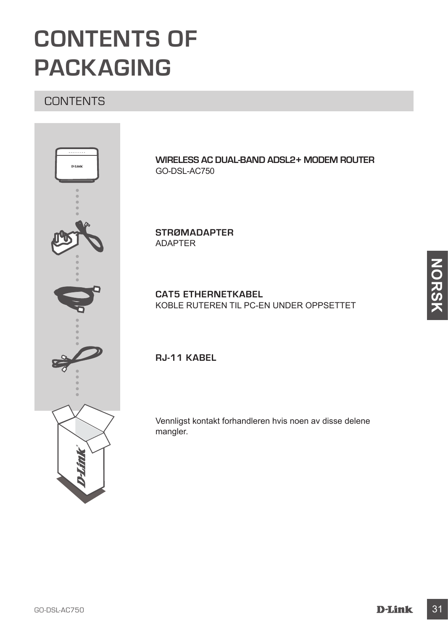# **CONTENTS OF PACKAGING**

## **CONTENTS**



**WIRELESS AC DUAL-BAND ADSL2+ MODEM ROUTER** GO-DSL-AC750

**STRØMADAPTER** ADAPTER

**CAT5 ETHERNETKABEL** KOBLE RUTEREN TIL PC-EN UNDER OPPSETTET

**RJ-11 KABEL**

Vennligst kontakt forhandleren hvis noen av disse delene mangler.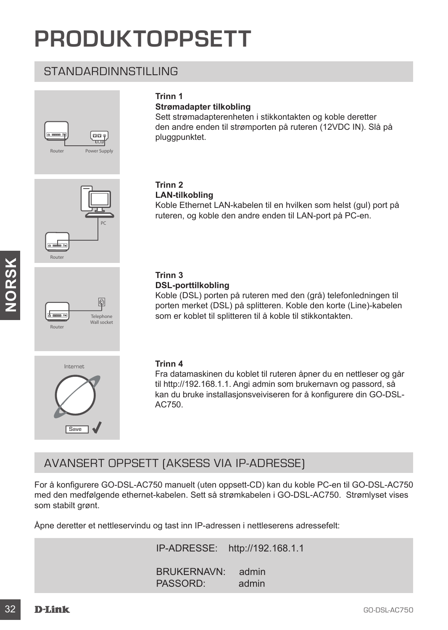# **PRODUKTOPPSETT**

## STANDARDINNSTILLING







Router

## **Trinn 1**

### **Strømadapter tilkobling**

Sett strømadapterenheten i stikkontakten og koble deretter den andre enden til strømporten på ruteren (12VDC IN). Slå på pluggpunktet.

#### **Trinn 2 LAN-tilkobling**

Koble Ethernet LAN-kabelen til en hvilken som helst (gul) port på ruteren, og koble den andre enden til LAN-port på PC-en.

## **Trinn 3**

#### **DSL-porttilkobling**

Koble (DSL) porten på ruteren med den (grå) telefonledningen til porten merket (DSL) på splitteren. Koble den korte (Line)-kabelen som er koblet til splitteren til å koble til stikkontakten.



#### **Trinn 4**

Fra datamaskinen du koblet til ruteren åpner du en nettleser og går til http://192.168.1.1. Angi admin som brukernavn og passord, så kan du bruke installasjonsveiviseren for å konfigurere din GO-DSL-AC750.

## AVANSERT OPPSETT (AKSESS VIA IP-ADRESSE)

Trinn 3<br>
SC-ACTURE COSL) porten mend den (grà) telefoniedningen til<br>
sporten merket (OSL) porten mend den (grà) telefoniedningen til<br>
sporten merket (OSL) på splitteren til å koble til stikkontakten.<br>
som er koblet til s For å konfigurere GO-DSL-AC750 manuelt (uten oppsett-CD) kan du koble PC-en til GO-DSL-AC750 med den medfølgende ethernet-kabelen. Sett så strømkabelen i GO-DSL-AC750. Strømlyset vises som stabilt grønt.

Åpne deretter et nettleservindu og tast inn IP-adressen i nettleserens adressefelt:

IP-ADRESSE: http://192.168.1.1

BRUKERNAVN: admin PASSORD: admin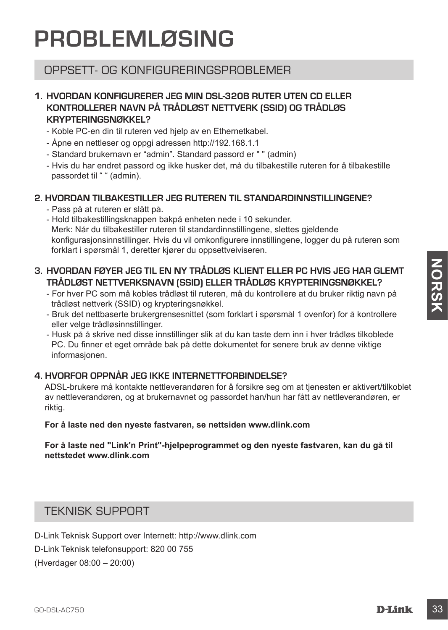# **PROBLEMLØSING**

## OPPSETT- OG KONFIGLIBERINGSPROBLEMER

## **1. HVORDAN KONFIGURERER JEG MIN DSL-320B RUTER UTEN CD ELLER KONTROLLERER NAVN PÅ TRÅDLØST NETTVERK (SSID) OG TRÅDLØS KRYPTERINGSNØKKEL?**

- Koble PC-en din til ruteren ved hjelp av en Ethernetkabel.
- Åpne en nettleser og oppgi adressen http://192.168.1.1
- Standard brukernavn er "admin". Standard passord er " " (admin)
- Hvis du har endret passord og ikke husker det, må du tilbakestille ruteren for å tilbakestille passordet til " " (admin).

## **2. HVORDAN TILBAKESTILLER JEG RUTEREN TIL STANDARDINNSTILLINGENE?**

- Pass på at ruteren er slått på.
- Hold tilbakestillingsknappen bakpå enheten nede i 10 sekunder. Merk: Når du tilbakestiller ruteren til standardinnstillingene, slettes gjeldende konfigurasjonsinnstillinger. Hvis du vil omkonfigurere innstillingene, logger du på ruteren som forklart i spørsmål 1, deretter kjører du oppsettveiviseren.

## **3. HVORDAN FØYER JEG TIL EN NY TRÅDLØS KLIENT ELLER PC HVIS JEG HAR GLEMT TRÅDLØST NETTVERKSNAVN (SSID) ELLER TRÅDLØS KRYPTERINGSNØKKEL?**

- For hver PC som må kobles trådløst til ruteren, må du kontrollere at du bruker riktig navn på trådløst nettverk (SSID) og krypteringsnøkkel.
- Bruk det nettbaserte brukergrensesnittet (som forklart i spørsmål 1 ovenfor) for å kontrollere eller velge trådløsinnstillinger.
- Husk på å skrive ned disse innstillinger slik at du kan taste dem inn i hver trådløs tilkoblede PC. Du finner et eget område bak på dette dokumentet for senere bruk av denne viktige informasjonen.

## **4. HVORFOR OPPNÅR JEG IKKE INTERNETTFORBINDELSE?**

**G. HVORDAN FØYER JEG TIL EN NY TRÅDLØS KLIENT ELLER PC HVIS JEG HAR GLEMT<br>
TRÅDLØST NETTVERKSNAVN (SSID) ELLER TRÅDLØS KRYPTERINGSNORNKEL?<br>
For hver PC som må kobles tråddøst til ruteren, må du kontrollere at du bruker ri** ADSL-brukere må kontakte nettleverandøren for å forsikre seg om at tjenesten er aktivert/tilkoblet av nettleverandøren, og at brukernavnet og passordet han/hun har fått av nettleverandøren, er riktig.

#### **For å laste ned den nyeste fastvaren, se nettsiden www.dlink.com**

#### **For å laste ned "Link'n Print"-hjelpeprogrammet og den nyeste fastvaren, kan du gå til nettstedet www.dlink.com**

## TEKNISK SUPPORT

D-Link Teknisk Support over Internett: http://www.dlink.com D-Link Teknisk telefonsupport: 820 00 755 (Hverdager 08:00 – 20:00)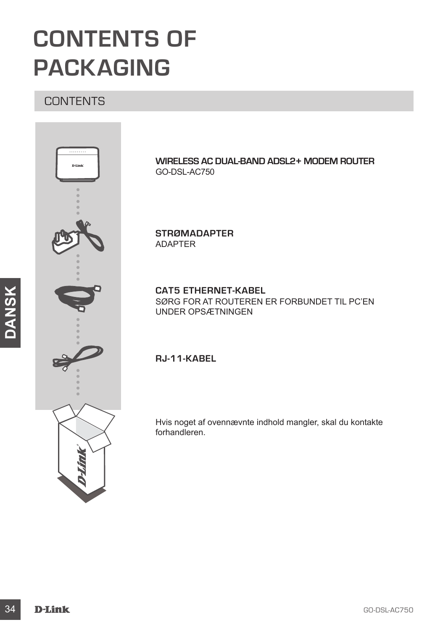# **CONTENTS OF PACKAGING**

## **CONTENTS**



**WIRELESS AC DUAL-BAND ADSL2+ MODEM ROUTER** GO-DSL-AC750

**STRØMADAPTER** ADAPTER

**CAT5 ETHERNET-KABEL** SØRG FOR AT ROUTEREN ER FORBUNDET TIL PC'EN UNDER OPSÆTNINGEN

**RJ-11-KABEL**

Hvis noget af ovennævnte indhold mangler, skal du kontakte forhandleren.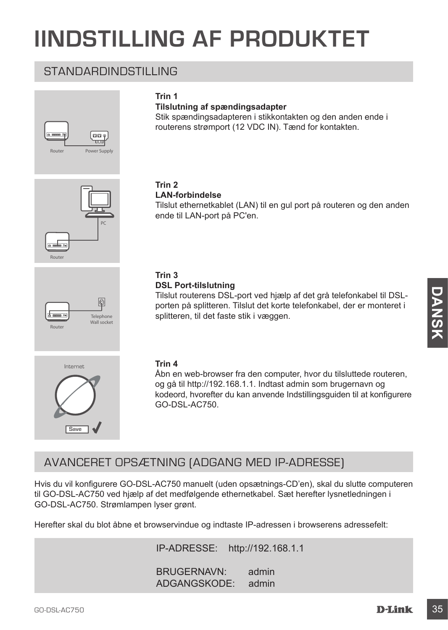# **IINDSTILLING AF PRODUKTET**

**Tilslutning af spændingsadapter**

## STANDARDINDSTILLING







**Trin 1**

## **LAN-forbindelse**

Tilslut ethernetkablet (LAN) til en gul port på routeren og den anden ende til LAN-port på PC'en.

Stik spændingsadapteren i stikkontakten og den anden ende i routerens strømport (12 VDC IN). Tænd for kontakten.

## **Trin 3**

#### **DSL Port-tilslutning**

Tilslut routerens DSL-port ved hjælp af det grå telefonkabel til DSLporten på splitteren. Tilslut det korte telefonkabel, der er monteret i splitteren, til det faste stik i væggen.





**Telephone** Wall socket<br>Router

#### **Trin 4**

Åbn en web-browser fra den computer, hvor du tilsluttede routeren, og gå til http://192.168.1.1. Indtast admin som brugernavn og kodeord, hvorefter du kan anvende Indstillingsguiden til at konfigurere GO-DSL-AC750.

## AVANCERET OPSÆTNING (ADGANG MED IP-ADRESSE)

Tislut routerens DSL-port ved hjælp af det grå telefonkabet til DSL-<br>
Sudit of the passituliteren, Tislut det korte telefonkabet, der er monteret i<br>
spillteren, til det taste stik i væggen.<br>
Trin 4<br>
AD n en web-browser fra Hvis du vil konfigurere GO-DSL-AC750 manuelt (uden opsætnings-CD'en), skal du slutte computeren til GO-DSL-AC750 ved hjælp af det medfølgende ethernetkabel. Sæt herefter lysnetledningen i GO-DSL-AC750. Strømlampen lyser grønt.

Herefter skal du blot åbne et browservindue og indtaste IP-adressen i browserens adressefelt:

IP-ADRESSE: http://192.168.1.1

BRUGERNAVN: admin ADGANGSKODE: admin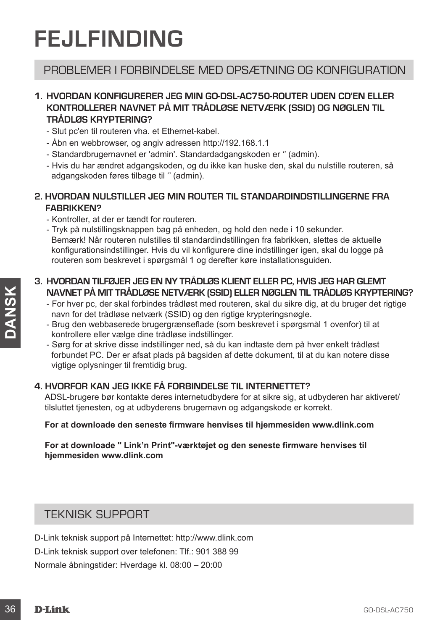# **FEJLFINDING**

## PROBLEMER I FORBINDELSE MED OPSÆTNING OG KONFIGURATION

## **1. HVORDAN KONFIGURERER JEG MIN GO-DSL-AC750-ROUTER UDEN CD'EN ELLER KONTROLLERER NAVNET PÅ MIT TRÅDLØSE NETVÆRK (SSID) OG NØGLEN TIL TRÅDLØS KRYPTERING?**

- Slut pc'en til routeren vha. et Ethernet-kabel.
- Åbn en webbrowser, og angiv adressen http://192.168.1.1
- Standardbrugernavnet er 'admin'. Standardadgangskoden er '' (admin).
- Hvis du har ændret adgangskoden, og du ikke kan huske den, skal du nulstille routeren, så adgangskoden føres tilbage til '' (admin).

### **2. HVORDAN NULSTILLER JEG MIN ROUTER TIL STANDARDINDSTILLINGERNE FRA FABRIKKEN?**

- Kontroller, at der er tændt for routeren.
- Tryk på nulstillingsknappen bag på enheden, og hold den nede i 10 sekunder. Bemærk! Når routeren nulstilles til standardindstillingen fra fabrikken, slettes de aktuelle konfigurationsindstillinger. Hvis du vil konfigurere dine indstillinger igen, skal du logge på routeren som beskrevet i spørgsmål 1 og derefter køre installationsguiden.

### **3. HVORDAN TILFØJER JEG EN NY TRÅDLØS KLIENT ELLER PC, HVIS JEG HAR GLEMT NAVNET PÅ MIT TRÅDLØSE NETVÆRK (SSID) ELLER NØGLEN TIL TRÅDLØS KRYPTERING?**

- For hver pc, der skal forbindes trådløst med routeren, skal du sikre dig, at du bruger det rigtige navn for det trådløse netværk (SSID) og den rigtige krypteringsnøgle.
- Brug den webbaserede brugergrænseflade (som beskrevet i spørgsmål 1 ovenfor) til at kontrollere eller vælge dine trådløse indstillinger.
- XAVINET PÅ MITTRÄDLERS TILTVERK (SSID) pELLER NOGLEN TILTRÄDLERS KRYPTERING?<br>
For twerp.c. der skal forbindes trädiget metallige typieningsnagle.<br>
But the control of the fidelise enelveric (SSID) og den rigtige kypteining - Sørg for at skrive disse indstillinger ned, så du kan indtaste dem på hver enkelt trådløst forbundet PC. Der er afsat plads på bagsiden af dette dokument, til at du kan notere disse vigtige oplysninger til fremtidig brug.

## **4. HVORFOR KAN JEG IKKE FÅ FORBINDELSE TIL INTERNETTET?**

ADSL-brugere bør kontakte deres internetudbydere for at sikre sig, at udbyderen har aktiveret/ tilsluttet tjenesten, og at udbyderens brugernavn og adgangskode er korrekt.

#### **For at downloade den seneste firmware henvises til hjemmesiden www.dlink.com**

### **For at downloade " Link'n Print"-værktøjet og den seneste firmware henvises til hjemmesiden www.dlink.com**

## TEKNISK SUPPORT

D-Link teknisk support på Internettet: http://www.dlink.com D-Link teknisk support over telefonen: Tlf.: 901 388 99 Normale åbningstider: Hverdage kl. 08:00 – 20:00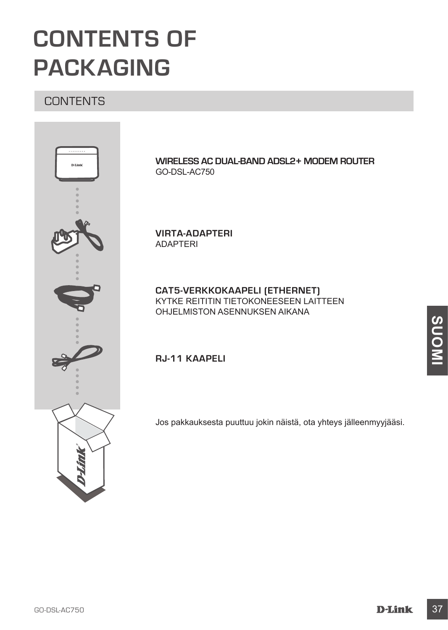# **CONTENTS OF PACKAGING**

## **CONTENTS**



**WIRELESS AC DUAL-BAND ADSL2+ MODEM ROUTER** GO-DSL-AC750

**VIRTA-ADAPTERI**  ADAPTERI

**CAT5-VERKKOKAAPELI (ETHERNET)** KYTKE REITITIN TIETOKONEESEEN LAITTEEN OHJELMISTON ASENNUKSEN AIKANA

**RJ-11 KAAPELI**

Jos pakkauksesta puuttuu jokin näistä, ota yhteys jälleenmyyjääsi.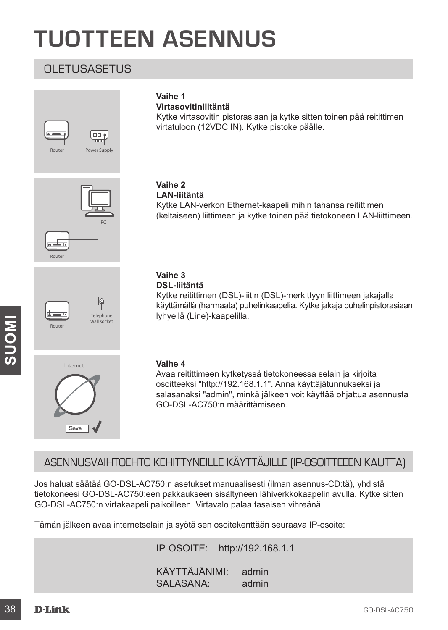# **TUOTTEEN ASENNUS**

## OLETUSASETUS









## **Vaihe 1**

**Virtasovitinliitäntä**

Kytke virtasovitin pistorasiaan ja kytke sitten toinen pää reitittimen virtatuloon (12VDC IN). Kytke pistoke päälle.

## **Vaihe 2**

**LAN-liitäntä** Kytke LAN-verkon Ethernet-kaapeli mihin tahansa reitittimen (keltaiseen) liittimeen ja kytke toinen pää tietokoneen LAN-liittimeen.

## **Vaihe 3**

**DSL-liitäntä**

Kytke reitittimen (DSL)-liitin (DSL)-merkittyyn liittimeen jakajalla käyttämällä (harmaata) puhelinkaapelia. Kytke jakaja puhelinpistorasiaan lyhyellä (Line)-kaapelilla.

#### **Vaihe 4**

Avaa reitittimeen kytketyssä tietokoneessa selain ja kirjoita osoitteeksi "http://192.168.1.1". Anna käyttäjätunnukseksi ja salasanaksi "admin", minkä jälkeen voit käyttää ohjattua asennusta GO-DSL-AC750:n määrittämiseen.

## ASENNUSVAIHTOEHTO KEHITTYNEILLE KÄYTTÄJILLE (IP-OSOITTEEEN KAUTTA)

Virginal (strey-Reapons).<br>
Valhe 4<br>
Nata refiltimene kylketyssä tietokoneessa selain ja kirjoitta<br>
Assamensista "admin", minkä jälkeen voit käyttää ohjattua asennusta<br>
Salasanaksi "admin", minkä jälkeen voit käyttää ohjatt Jos haluat säätää GO-DSL-AC750:n asetukset manuaalisesti (ilman asennus-CD:tä), yhdistä tietokoneesi GO-DSL-AC750:een pakkaukseen sisältyneen lähiverkkokaapelin avulla. Kytke sitten GO-DSL-AC750:n virtakaapeli paikoilleen. Virtavalo palaa tasaisen vihreänä.

Tämän jälkeen avaa internetselain ja syötä sen osoitekenttään seuraava IP-osoite:

IP-OSOITE: http://192.168.1.1

KÄYTTÄJÄNIMI: admin SALASANA: admin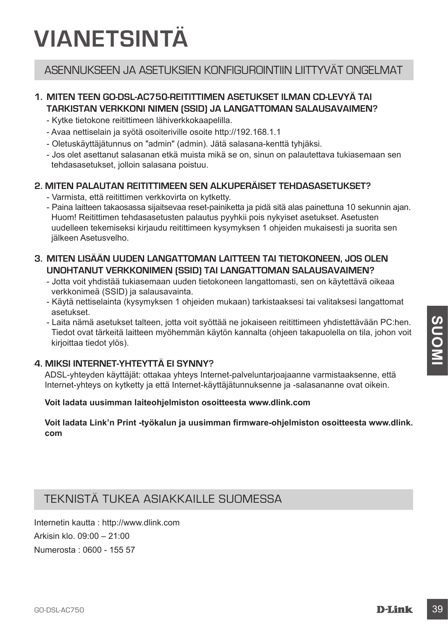# **VIANETSINTÄ**

## ASENNUKSEEN JA ASETUKSIEN KONFIGUROINTIIN LIITTYVÄT ONGFI MAT

## **1. MITEN TEEN GO-DSL-AC750-REITITTIMEN ASETUKSET ILMAN CD-LEVYÄ TAI TARKISTAN VERKKONI NIMEN (SSID) JA LANGATTOMAN SALAUSAVAIMEN?**

- Kytke tietokone reitittimeen lähiverkkokaapelilla.
- Avaa nettiselain ja syötä osoiteriville osoite http://192.168.1.1
- Oletuskäyttäjätunnus on "admin" (admin). Jätä salasana-kenttä tyhjäksi.
- Jos olet asettanut salasanan etkä muista mikä se on, sinun on palautettava tukiasemaan sen tehdasasetukset, jolloin salasana poistuu.

#### **2. MITEN PALAUTAN REITITTIMEEN SEN ALKUPERÄISET TEHDASASETUKSET?**

- Varmista, että reitittimen verkkovirta on kytketty.
- Paina laitteen takaosassa sijaitsevaa reset-painiketta ja pidä sitä alas painettuna 10 sekunnin ajan. Huom! Reitittimen tehdasasetusten palautus pyyhkii pois nykyiset asetukset. Asetusten uudelleen tekemiseksi kirjaudu reitittimeen kysymyksen 1 ohjeiden mukaisesti ja suorita sen jälkeen Asetusvelho.

## **3. MITEN LISÄÄN UUDEN LANGATTOMAN LAITTEEN TAI TIETOKONEEN, JOS OLEN UNOHTANUT VERKKONIMEN (SSID) TAI LANGATTOMAN SALAUSAVAIMEN?**

- Jotta voit yhdistää tukiasemaan uuden tietokoneen langattomasti, sen on käytettävä oikeaa verkkonimeä (SSID) ja salausavainta.
- Käytä nettiselainta (kysymyksen 1 ohjeiden mukaan) tarkistaaksesi tai valitaksesi langattomat asetukset.
- Laita nämä aseukset laitteen, jotta voit syöttää ne jokaiseen reitittimeen yhdistettävään PC:hen.<br>
Tedot ovat tärketäl laitteen myöhemmän käytön kannalta (ohjeen takapuolella on tila, johon voit<br>
Kirjoittaa tiedot ylös). - Laita nämä asetukset talteen, jotta voit syöttää ne jokaiseen reitittimeen yhdistettävään PC:hen. Tiedot ovat tärkeitä laitteen myöhemmän käytön kannalta (ohjeen takapuolella on tila, johon voit kirjoittaa tiedot ylös).

### **4. MIKSI INTERNET-YHTEYTTÄ EI SYNNY?**

ADSL-yhteyden käyttäjät: ottakaa yhteys Internet-palveluntarjoajaanne varmistaaksenne, että Internet-yhteys on kytketty ja että Internet-käyttäjätunnuksenne ja -salasananne ovat oikein.

#### **Voit ladata uusimman laiteohjelmiston osoitteesta www.dlink.com**

**Voit ladata Link'n Print -työkalun ja uusimman firmware-ohjelmiston osoitteesta www.dlink. com**

## TEKNISTÄ TUKEA ASIAKKAILLE SUOMESSA

Internetin kautta : http://www.dlink.com Arkisin klo. 09:00 – 21:00 Numerosta : 0600 - 155 57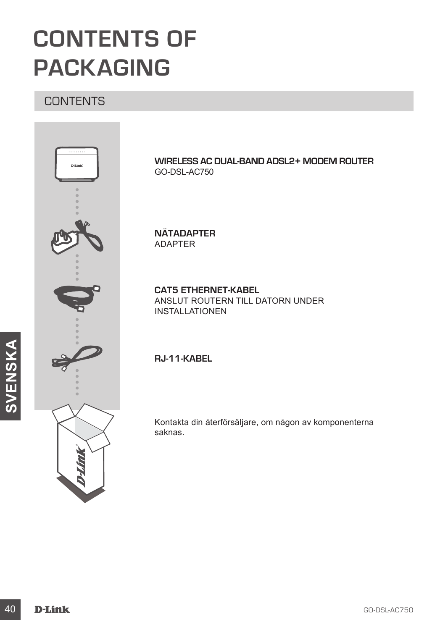# **CONTENTS OF PACKAGING**

## **CONTENTS**



**WIRELESS AC DUAL-BAND ADSL2+ MODEM ROUTER** GO-DSL-AC750

**NÄTADAPTER** ADAPTER

**CAT5 ETHERNET-KABEL** ANSLUT ROUTERN TILL DATORN UNDER INSTALLATIONEN

**RJ-11-KABEL**

Kontakta din återförsäljare, om någon av komponenterna saknas.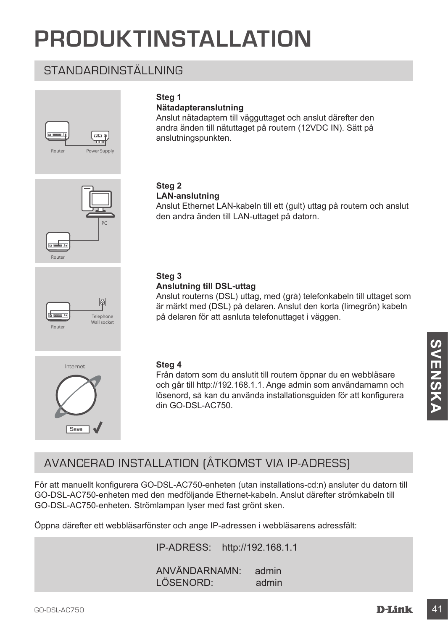# **PRODUKTINSTALLATION**

## STANDARDINSTÄLLNING





## **Nätadapteranslutning**

Anslut nätadaptern till vägguttaget och anslut därefter den andra änden till nätuttaget på routern (12VDC IN). Sätt på anslutningspunkten.



#### **Steg 2 LAN-anslutning**

Anslut Ethernet LAN-kabeln till ett (gult) uttag på routern och anslut den andra änden till LAN-uttaget på datorn.



## **Steg 3**

#### **Anslutning till DSL-uttag**

Anslut routerns (DSL) uttag, med (grå) telefonkabeln till uttaget som är märkt med (DSL) på delaren. Anslut den korta (limegrön) kabeln på delaren för att asnluta telefonuttaget i väggen.



#### **Steg 4**

Från datorn som du anslutit till routern öppnar du en webbläsare och går till http://192.168.1.1. Ange admin som användarnamn och lösenord, så kan du använda installationsguiden för att konfigurera din GO-DSL-AC750.

## AVANCERAD INSTALLATION (ÅTKOMST VIA IP-ADRESS)

Steg 4<br>
Fran datom som du anslutit till routern öppnar du en webbläsare<br>
och går till http://192.168.1.1. Ange admin som användarnamn och<br>
lösenord, så kan du använda installationsguiden för att konfigurera<br>
din GO-DSL-AC7 För att manuellt konfigurera GO-DSL-AC750-enheten (utan installations-cd:n) ansluter du datorn till GO-DSL-AC750-enheten med den medföljande Ethernet-kabeln. Anslut därefter strömkabeln till GO-DSL-AC750-enheten. Strömlampan lyser med fast grönt sken.

Öppna därefter ett webbläsarfönster och ange IP-adressen i webbläsarens adressfält:

IP-ADRESS: http://192.168.1.1

ANVÄNDARNAMN: admin LÖSENORD: admin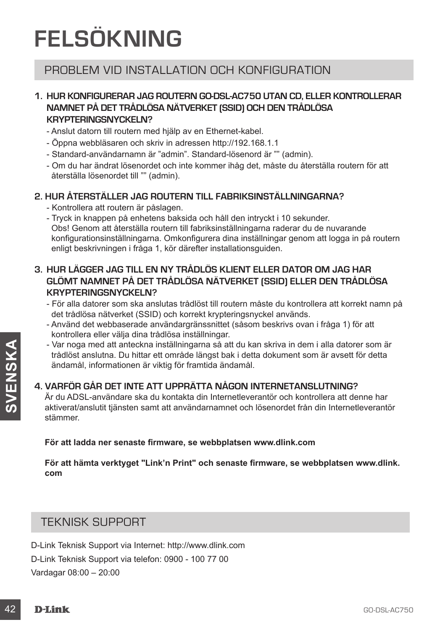# **FELSÖKNING**

## PROBLEM VID INSTALLATION OCH KONFIGURATION

### **1. HUR KONFIGURERAR JAG ROUTERN GO-DSL-AC750 UTAN CD, ELLER KONTROLLERAR NAMNET PÅ DET TRÅDLÖSA NÄTVERKET (SSID) OCH DEN TRÅDLÖSA KRYPTERINGSNYCKELN?**

- Anslut datorn till routern med hjälp av en Ethernet-kabel.
- Öppna webbläsaren och skriv in adressen http://192.168.1.1
- Standard-användarnamn är "admin". Standard-lösenord är "" (admin).
- Om du har ändrat lösenordet och inte kommer ihåg det, måste du återställa routern för att återställa lösenordet till "" (admin).

## **2. HUR ÅTERSTÄLLER JAG ROUTERN TILL FABRIKSINSTÄLLNINGARNA?**

- Kontrollera att routern är påslagen.
- Tryck in knappen på enhetens baksida och håll den intryckt i 10 sekunder. Obs! Genom att återställa routern till fabriksinställningarna raderar du de nuvarande konfigurationsinställningarna. Omkonfigurera dina inställningar genom att logga in på routern enligt beskrivningen i fråga 1, kör därefter installationsguiden.

## **3. HUR LÄGGER JAG TILL EN NY TRÅDLÖS KLIENT ELLER DATOR OM JAG HAR GLÖMT NAMNET PÅ DET TRÅDLÖSA NÄTVERKET (SSID) ELLER DEN TRÅDLÖSA KRYPTERINGSNYCKELN?**

- För alla datorer som ska anslutas trådlöst till routern måste du kontrollera att korrekt namn på det trådlösa nätverket (SSID) och korrekt krypteringsnyckel används.
- Använd det webbaserade användargränssnittet (såsom beskrivs ovan i fråga 1) för att kontrollera eller välja dina trådlösa inställningar.
- Var noga med att anteckna inställningarna så att du kan skriva in dem i alla datorer som är trådlöst anslutna. Du hittar ett område längst bak i detta dokument som är avsett för detta ändamål, informationen är viktig för framtida ändamål.

## **4. VARFÖR GÅR DET INTE ATT UPPRÄTTA NÅGON INTERNETANSLUTNING?**

- Var noga med att anteckna installningarna så att du kan skriva in dem i alla datorer som är<br>
tradiota anslutna. Du hitter ett område längst bak i detta dokument som är avsett för detta<br>
anslutna. Du hitter ett område län Är du ADSL-användare ska du kontakta din Internetleverantör och kontrollera att denne har aktiverat/anslutit tjänsten samt att användarnamnet och lösenordet från din Internetleverantör stämmer.

#### **För att ladda ner senaste firmware, se webbplatsen www.dlink.com**

**För att hämta verktyget "Link'n Print" och senaste firmware, se webbplatsen www.dlink. com**

## TEKNISK SUPPORT

D-Link Teknisk Support via Internet: http://www.dlink.com D-Link Teknisk Support via telefon: 0900 - 100 77 00 Vardagar 08:00 – 20:00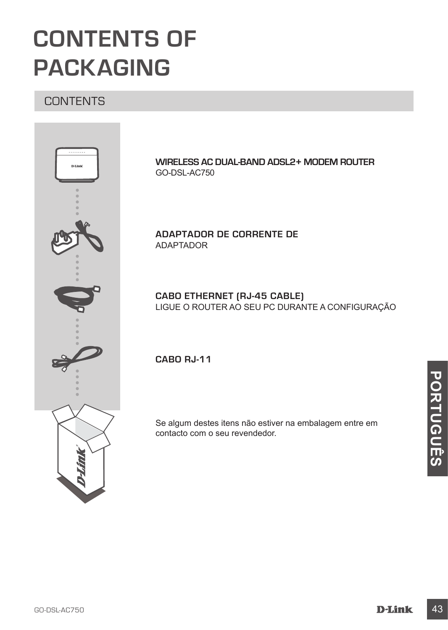# **CONTENTS OF PACKAGING**

## **CONTENTS**



**WIRELESS AC DUAL-BAND ADSL2+ MODEM ROUTER** GO-DSL-AC750

**ADAPTADOR DE CORRENTE DE** ADAPTADOR

**CABO ETHERNET (RJ-45 CABLE)** LIGUE O ROUTER AO SEU PC DURANTE A CONFIGURAÇÃO

**CABO RJ-11** 

Se algum destes itens não estiver na embalagem entre em contacto com o seu revendedor.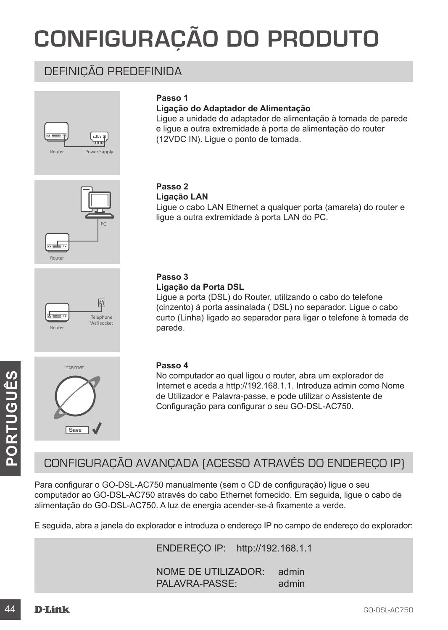# **CONFIGURAÇÃO DO PRODUTO**

## DEFINIÇÃO PREDEFINIDA





### **Ligação do Adaptador de Alimentação**

Ligue a unidade do adaptador de alimentação à tomada de parede e ligue a outra extremidade à porta de alimentação do router (12VDC IN). Ligue o ponto de tomada.





Ligue o cabo LAN Ethernet a qualquer porta (amarela) do router e ligue a outra extremidade à porta LAN do PC.



## **Passo 3**

**Ligação da Porta DSL**

Ligue a porta (DSL) do Router, utilizando o cabo do telefone (cinzento) à porta assinalada ( DSL) no separador. Ligue o cabo curto (Linha) ligado ao separador para ligar o telefone à tomada de parede.



#### **Passo 4**

No computador ao qual ligou o router, abra um explorador de Internet e aceda a http://192.168.1.1. Introduza admin como Nome de Utilizador e Palavra-passe, e pode utilizar o Assistente de Configuração para configurar o seu GO-DSL-AC750.

## CONFIGURAÇÃO AVANÇADA (ACESSO ATRAVÉS DO ENDEREÇO IP)

No computador ao qual ligou o router, abra um explorador de<br>
Internet e aceda a http://192.168.1.1 Intoduza a discussion computador and in computador prediction of None<br>
CONFIGURAÇÃO AVANÇADA (ACESSO ATRAVÉS DO ENDEREÇO IP Para configurar o GO-DSL-AC750 manualmente (sem o CD de configuração) ligue o seu computador ao GO-DSL-AC750 através do cabo Ethernet fornecido. Em seguida, ligue o cabo de alimentação do GO-DSL-AC750. A luz de energia acender-se-á fixamente a verde.

E seguida, abra a janela do explorador e introduza o endereço IP no campo de endereço do explorador:

ENDEREÇO IP: http://192.168.1.1

NOME DE UTILIZADOR: admin PALAVRA-PASSE: admin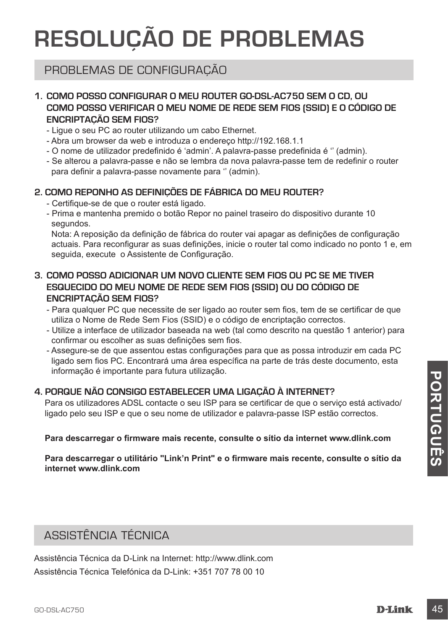# **RESOLUÇÃO DE PROBLEMAS**

## PROBLEMAS DE CONFIGURAÇÃO

## **1. COMO POSSO CONFIGURAR O MEU ROUTER GO-DSL-AC750 SEM O CD, OU COMO POSSO VERIFICAR O MEU NOME DE REDE SEM FIOS (SSID) E O CÓDIGO DE ENCRIPTAÇÃO SEM FIOS?**

- Ligue o seu PC ao router utilizando um cabo Ethernet.
- Abra um browser da web e introduza o endereço http://192.168.1.1
- O nome de utilizador predefinido é 'admin'. A palavra-passe predefinida é '' (admin).
- Se alterou a palavra-passe e não se lembra da nova palavra-passe tem de redefinir o router para definir a palavra-passe novamente para '' (admin).

## **2. COMO REPONHO AS DEFINIÇÕES DE FÁBRICA DO MEU ROUTER?**

- Certifique-se de que o router está ligado.
- Prima e mantenha premido o botão Repor no painel traseiro do dispositivo durante 10 segundos.

Nota: A reposição da definição de fábrica do router vai apagar as definições de configuração actuais. Para reconfigurar as suas definições, inicie o router tal como indicado no ponto 1 e, em seguida, execute o Assistente de Configuração.

## **3. COMO POSSO ADICIONAR UM NOVO CLIENTE SEM FIOS OU PC SE ME TIVER ESQUECIDO DO MEU NOME DE REDE SEM FIOS (SSID) OU DO CÓDIGO DE ENCRIPTAÇÃO SEM FIOS?**

- Para qualquer PC que necessite de ser ligado ao router sem fios, tem de se certificar de que utiliza o Nome de Rede Sem Fios (SSID) e o código de encriptação correctos.
- Utilize a interface de utilizador baseada na web (tal como descrito na questão 1 anterior) para confirmar ou escolher as suas definições sem fios.
- Assegure-se de que assentou estas configurações para que as possa introduzir em cada PC ligado sem fios PC. Encontrará uma área específica na parte de trás deste documento, esta informação é importante para futura utilização.

## **4. PORQUE NÃO CONSIGO ESTABELECER UMA LIGAÇÃO À INTERNET?**

Para os utilizadores ADSL contacte o seu ISP para se certificar de que o serviço está activado/ ligado pelo seu ISP e que o seu nome de utilizador e palavra-passe ISP estão correctos.

#### **Para descarregar o firmware mais recente, consulte o sítio da internet www.dlink.com**

Informação e importante para titula dunização.<br> **4. PORQUE NÃO CONSIGO ESTABELECER UMA LIGAÇÃO À INTERNET?**<br>
Plaga os utilízadores ADSL contacte o seu isP para se certificar de que o serviço está activado/<br> **Para descarreg Para descarregar o utilitário "Link'n Print" e o firmware mais recente, consulte o sítio da internet www.dlink.com**

## ASSISTÊNCIA TÉCNICA

Assistência Técnica da D-Link na Internet: http://www.dlink.com Assistência Técnica Telefónica da D-Link: +351 707 78 00 10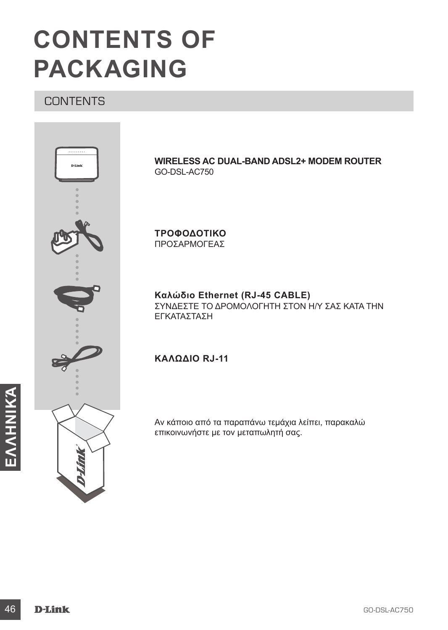# **CONTENTS OF PACKAGING**

## **CONTENTS**



**WIRELESS AC DUAL-BAND ADSL2+ MODEM ROUTER** GO-DSL-AC750

**ΤΡΟΦΟΔΟΤΙΚΟ** ΠΡΟΣΑΡΜΟΓΕΑΣ

**Καλώδιο Ethernet (RJ-45 CABLE)** ΣΥΝΔΕΣΤΕ ΤΟ ΔΡΟΜΟΛΟΓΗΤΗ ΣΤΟΝ Η/Υ ΣΑΣ ΚΑΤΑ ΤΗΝ ΕΓΚΑΤΑΣΤΑΣΗ

## **ΚΑΛΏΔΙΟ RJ-11**

Αν κάποιο από τα παραπάνω τεμάχια λείπει, παρακαλώ επικοινωνήστε με τον μεταπωλητή σας.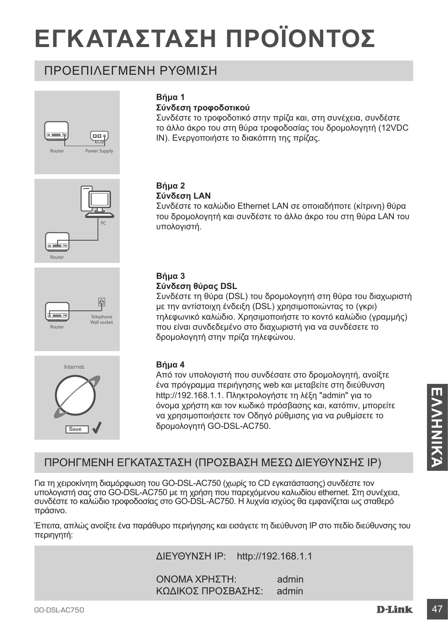# **ΕΓΚΑΤΑΣΤΑΣΗ ΠΡΟΪΟΝΤΟΣ**

## ΠΡΟΕΠΙΛΕΓΜΕΝΗ ΡΥΘΜΙΣΗ







Internet

Save V



## **Σύνδεση τροφοδοτικού**

Συνδέστε το τροφοδοτικό στην πρίζα και, στη συνέχεια, συνδέστε το άλλο άκρο του στη θύρα τροφοδοσίας του δρομολογητή (12VDC IN). Ενεργοποιήστε το διακόπτη της πρίζας.

#### **Βήμα 2 Σύνδεση LAN**

Συνδέστε το καλώδιο Ethernet LAN σε οποιαδήποτε (κίτρινη) θύρα του δρομολογητή και συνδέστε το άλλο άκρο του στη θύρα LAN του υπολογιστή.

## **Βήμα 3**

#### **Σύνδεση θύρας DSL**

Συνδέστε τη θύρα (DSL) του δρομολογητή στη θύρα του διαχωριστή με την αντίστοιχη ένδειξη (DSL) χρησιμοποιώντας το (γκρι) τηλεφωνικό καλώδιο. Χρησιμοποιήστε το κοντό καλώδιο (γραμμής) που είναι συνδεδεμένο στο διαχωριστή για να συνδέσετε το δρομολογητή στην πρίζα τηλεφώνου.



Από τον υπολογιστή που συνδέσατε στο δρομολογητή, ανοίξτε ένα πρόγραμμα περιήγησης web και μεταβείτε στη διεύθυνση http://192.168.1.1. Πληκτρολογήστε τη λέξη "admin" για το όνομα χρήστη και τον κωδικό πρόσβασης και, κατόπιν, μπορείτε να χρησιμοποιήσετε τον Οδηγό ρύθμισης για να ρυθμίσετε το δρομολογητή GO-DSL-AC750.

## ΠΡΟΗΓΜΕΝΗ ΕΓΚΑΤΑΣΤΑΣΗ (ΠΡΟΣΒΑΣΗ ΜΕΣΩ ΔΙΕΥΘΥΝΣΗΣ IP)

Http://192.168.1.1. Πληκτρολογήστε τη λέξη "admin" για το<br>
νομα χρήση και τον κωδικό πρόσβασης και, κατόπιν, μπορείτε<br>
να χρησιμοποιήσετε τον Οδηγό ρύθμισης για να ρυθμίσετε το<br>
δρομολογητή GO-DSL-AC750.<br>
- δρομολογητή GO Για τη χειροκίνητη διαμόρφωση του GO-DSL-AC750 (χωρίς το CD εγκατάστασης) συνδέστε τον υπολογιστή σας στο GO-DSL-AC750 με τη χρήση που παρεχόμενου καλωδίου ethernet. Στη συνέχεια, συνδέστε το καλώδιο τροφοδοσίας στο GO-DSL-AC750. Η λυχνία ισχύος θα εμφανίζεται ως σταθερό πράσινο.

Έπειτα, απλώς ανοίξτε ένα παράθυρο περιήγησης και εισάγετε τη διεύθυνση IP στο πεδίο διεύθυνσης του περιηγητή:

ΔΙΕΥΘΥΝΣΗ IP: http://192.168.1.1

ΟΝΟΜΑ ΧΡΗΣΤΗ: admin ΚΩΔΙΚΟΣ ΠΡΟΣΒΑΣΗΣ: admin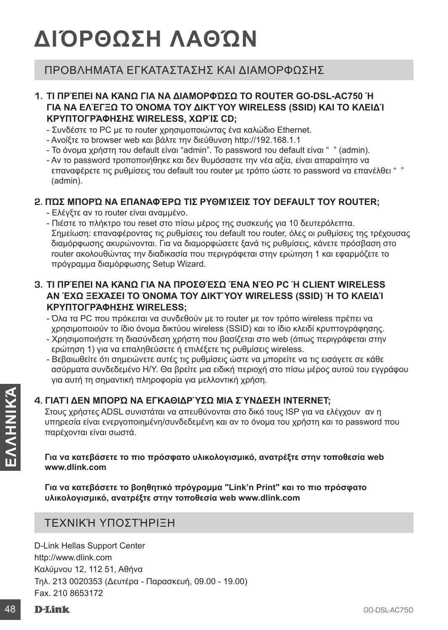# **ΔΙΌΡΘΩΣΗ ΛΑΘΏΝ**

## ΠΡΟΒΛΗΜΑΤΑ ΕΓΚΑΤΑΣΤΑΣΗΣ ΚΑΙ ΔΙΑΜΟΡΦΩΣΗΣ

### **1. ΤΙ ΠΡΈΠΕΙ ΝΑ ΚΆΝΩ ΓΙΑ ΝΑ ΔΙΑΜΟΡΦΏΣΩ ΤΟ ROUTER GO-DSL-AC750 Ή ΓΙΑ ΝΑ ΕΛΈΓΞΩ ΤΟ ΌΝΟΜΑ ΤΟΥ ΔΙΚΤΎΟΥ WIRELESS (SSID) ΚΑΙ ΤΟ ΚΛΕΙΔΊ ΚΡΥΠΤΟΓΡΆΦΗΣΗΣ WIRELESS, ΧΩΡΊΣ CD;**

- Συνδέστε το PC με το router χρησιμοποιώντας ένα καλώδιο Ethernet.
- Ανοίξτε το browser web και βάλτε την διεύθυνση http://192.168.1.1
- Το όνομα χρήστη του default είναι "admin". Το password του default είναι " " (admin).
- Αν το password τροποποιήθηκε και δεν θυμόσαστε την νέα αξία, είναι απαραίτητο να επαναφέρετε τις ρυθμίσεις του default του router με τρόπο ώστε το password να επανέλθει " " (admin).

## **2. ΠΏΣ ΜΠΟΡΏ ΝΑ ΕΠΑΝΑΦΈΡΩ ΤΙΣ ΡΥΘΜΊΣΕΙΣ ΤΟΥ DEFAULT ΤΟΥ ROUTER;**

- Ελέγξτε αν το router είναι αναμμένο.
- Πιέστε το πλήκτρο του reset στο πίσω μέρος της συσκευής για 10 δευτερόλεπτα. Σημείωση: επαναφέροντας τις ρυθμίσεις του default του router, όλες οι ρυθμίσεις της τρέχουσας διαμόρφωσης ακυρώνονται. Για να διαμορφώσετε ξανά τις ρυθμίσεις, κάνετε πρόσβαση στο router ακολουθώντας την διαδικασία που περιγράφεται στην ερώτηση 1 και εφαρμόζετε το πρόγραμμα διαμόρφωσης Setup Wizard.

## **3. ΤΙ ΠΡΈΠΕΙ ΝΑ ΚΆΝΩ ΓΙΑ ΝΑ ΠΡΟΣΘΈΣΩ ΈΝΑ ΝΈΟ PC Ή CLIENT WIRELESS ΑΝ ΈΧΩ ΞΕΧΆΣΕΙ ΤΟ ΌΝΟΜΑ ΤΟΥ ΔΙΚΤΎΟΥ WIRELESS (SSID) Ή ΤΟ ΚΛΕΙΔΊ ΚΡΥΠΤΟΓΡΆΦΗΣΗΣ WIRELESS;**

- Όλα τα PC που πρόκειται να συνδεθούν με το router με τον τρόπο wireless πρέπει να χρησιμοποιούν το ίδιο όνομα δικτύου wireless (SSID) και το ίδιο κλειδί κρυπτογράφησης.
- Χρησιμοποιήστε τη διασύνδεση χρήστη που βασίζεται στο web (όπως περιγράφεται στην ερώτηση 1) για να επαληθεύσετε ή επιλέξετε τις ρυθμίσεις wireless.
- Βεβαιωθείτε ότι σημειώνετε αυτές τις ρυθμίσεις ώστε να μπορείτε να τις εισάγετε σε κάθε ασύρματα συνδεδεμένο Η/Υ. Θα βρείτε μια ειδική περιοχή στο πίσω μέρος αυτού του εγγράφου για αυτή τη σημαντική πληροφορία για μελλοντική χρήση.

## **4. ΓΙΑΤΊ ΔΕΝ ΜΠΟΡΏ ΝΑ ΕΓΚΑΘΙΔΡΎΣΩ ΜΙΑ ΣΎΝΔΕΣΗ INTERNET;**

Στους χρήστες ADSL συνιστάται να απευθύνονται στο δικό τους ISP για να ελέγχουν αν η υπηρεσία είναι ενεργοποιημένη/συνδεδεμένη και αν το όνομα του χρήστη και το password που παρέχονται είναι σωστά.

#### **Για να κατεβάσετε το πιο πρόσφατο υλικολογισμικό, ανατρέξτε στην τοποθεσία web www.dlink.com**

**Για να κατεβάσετε το βοηθητικό πρόγραμμα "Link'n Print" και το πιο πρόσφατο υλικολογισμικό, ανατρέξτε στην τοποθεσία web www.dlink.com**

## ΤΕΧΝΙΚΉ ΥΠΟΣΤΉΡΙΞΗ

4. ΓΙΑΤΊ ΔΕΝ ΜΠΟΡΏ ΝΑ ΕΤΚΑΘΙΔΡΎΣΩ ΜΙΑ ΣΥΝΔΕΣΗ INTERNET;<br>
Στους χρήστες ADSL συνιστάται να απευθύνονται στο δικό τους ISP για να ελέγχουν αν η<br>
υπηρεσία είναι ενεργοποιημένη/συνδεδεμένη και αν το όνομα του χρήστη και το pa D-Link Hellas Support Center http://www.dlink.com Καλύμνου 12, 112 51, Αθήνα Τηλ. 213 0020353 (Δευτέρα - Παρασκευή, 09.00 - 19.00) Fax. 210 8653172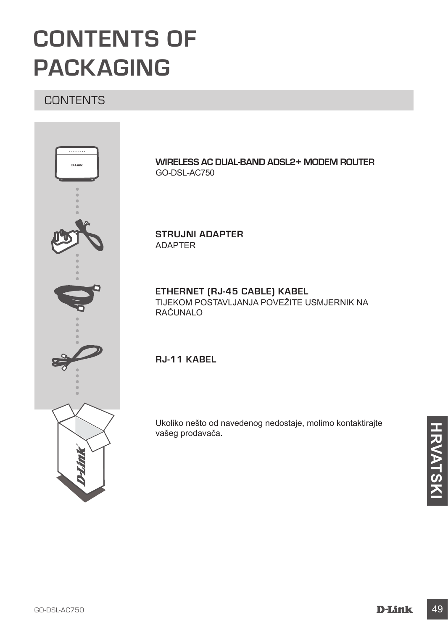# **CONTENTS OF PACKAGING**

## **CONTENTS**



**WIRELESS AC DUAL-BAND ADSL2+ MODEM ROUTER** GO-DSL-AC750

**STRUJNI ADAPTER** ADAPTER

### **ETHERNET (RJ-45 CABLE) KABEL** TIJEKOM POSTAVLJANJA POVEŽITE USMJERNIK NA RAČUNALO

## **RJ-11 KABEL**

Ukoliko nešto od navedenog nedostaje, molimo kontaktirajte vašeg prodavača.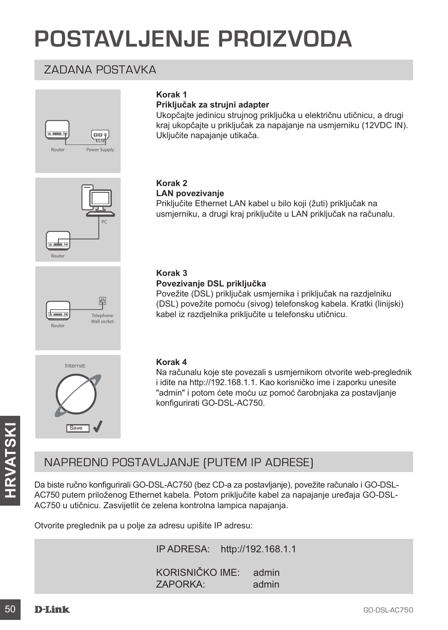# **POSTAVLJENJE PROIZVODA**

## ZADANA POSTAVKA



## **Korak 1**

### **Priključak za strujni adapter**

Ukopčajte jedinicu strujnog priključka u električnu utičnicu, a drugi kraj ukopčajte u priključak za napajanje na usmjerniku (12VDC IN). Uključite napajanje utikača.



#### **Korak 2 LAN povezivanje**

Priključite Ethernet LAN kabel u bilo koji (žuti) priključak na usmjerniku, a drugi kraj priključite u LAN priključak na računalu.



## **Korak 3**

#### **Povezivanje DSL priključka**

Povežite (DSL) priključak usmjernika i priključak na razdjelniku (DSL) povežite pomoću (sivog) telefonskog kabela. Kratki (linijski) kabel iz razdjelnika priključite u telefonsku utičnicu.



#### **Korak 4**

Na računalu koje ste povezali s usmjernikom otvorite web-preglednik i idite na http://192.168.1.1. Kao korisničko ime i zaporku unesite "admin" i potom ćete moću uz pomoć čarobnjaka za postavljanje konfigurirati GO-DSL-AC750.

## NAPREDNO POSTAVLJANJE (PUTEM IP ADRESE)

Save J<br>
MAPREDNO POSTAVLJANJE (PUTEM IP ADRESE)<br>
Da biste ručno konfigurirali GO-DSL-AC750 (bez CD-a za postavljanje), povežite računalo i GO-DSL-AC750 u tričnicu. Zasvijetliti će zelena kontrolna lampica napajanja.<br>
Otvor Da biste ručno konfigurirali GO-DSL-AC750 (bez CD-a za postavljanje), povežite računalo i GO-DSL-AC750 putem priloženog Ethernet kabela. Potom priključite kabel za napajanje uređaja GO-DSL-AC750 u utičnicu. Zasvijetlit će zelena kontrolna lampica napajanja.

Otvorite preglednik pa u polje za adresu upišite IP adresu:

IP ADRESA: http://192.168.1.1

KORISNIČKO IME: admin ZAPORKA: admin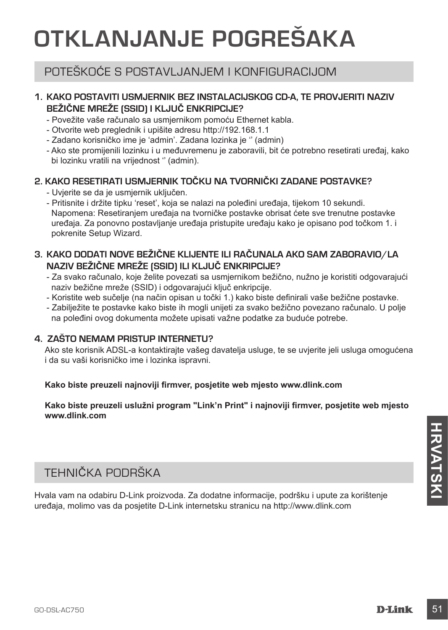# **OTKLANJANJE POGREŠAKA**

## POTEŠKOĆE S POSTAVLJANJEM I KONFIGURACIJOM

### **1. KAKO POSTAVITI USMJERNIK BEZ INSTALACIJSKOG CD-A, TE PROVJERITI NAZIV BEŽIČNE MREŽE (SSID) I KLJUČ ENKRIPCIJE?**

- Povežite vaše računalo sa usmjernikom pomoću Ethernet kabla.
- Otvorite web preglednik i upišite adresu http://192.168.1.1
- Zadano korisničko ime je 'admin'. Zadana lozinka je '' (admin)
- Ako ste promijenili lozinku i u međuvremenu je zaboravili, bit će potrebno resetirati uređaj, kako bi lozinku vratili na vrijednost '' (admin).

## **2. KAKO RESETIRATI USMJERNIK TOČKU NA TVORNIČKI ZADANE POSTAVKE?**

- Uvjerite se da je usmjernik uključen.
- Pritisnite i držite tipku 'reset', koja se nalazi na poleđini uređaja, tijekom 10 sekundi. Napomena: Resetiranjem uređaja na tvorničke postavke obrisat ćete sve trenutne postavke uređaja. Za ponovno postavljanje uređaja pristupite uređaju kako je opisano pod točkom 1. i pokrenite Setup Wizard.

## **3. KAKO DODATI NOVE BEŽIČNE KLIJENTE ILI RAČUNALA AKO SAM ZABORAVIO/LA NAZIV BEŽIČNE MREŽE (SSID) ILI KLJUČ ENKRIPCIJE?**

- Za svako računalo, koje želite povezati sa usmjernikom bežično, nužno je koristiti odgovarajući naziv bežične mreže (SSID) i odgovarajući ključ enkripcije.
- Koristite web sučelje (na način opisan u točki 1.) kako biste definirali vaše bežične postavke.
- Zabilježite te postavke kako biste ih mogli unijeti za svako bežično povezano računalo. U polje na poleđini ovog dokumenta možete upisati važne podatke za buduće potrebe.

### **4. ZAŠTO NEMAM PRISTUP INTERNETU?**

Ako ste korisnik ADSL-a kontaktirajte vašeg davatelja usluge, te se uvjerite jeli usluga omogućena i da su vaši korisničko ime i lozinka ispravni.

#### **Kako biste preuzeli najnoviji firmver, posjetite web mjesto www.dlink.com**

**Kako biste preuzeli uslužni program "Link'n Print" i najnoviji firmver, posjetite web mjesto www.dlink.com**

## TEHNIČKA PODRŠKA

TEHNIČKA PODRŠKA<br>
Hvala vam na odabiru D-Link proizvoda. Za dodatne informacije, podršku i upute za korištenje<br>
uređaja, molimo vas da posjetite D-Link internetsku stranicu na http://www.dlink.com<br>
GO-DSL-AC750<br> **D-Link** 5 Hvala vam na odabiru D-Link proizvoda. Za dodatne informacije, podršku i upute za korištenje uređaja, molimo vas da posjetite D-Link internetsku stranicu na http://www.dlink.com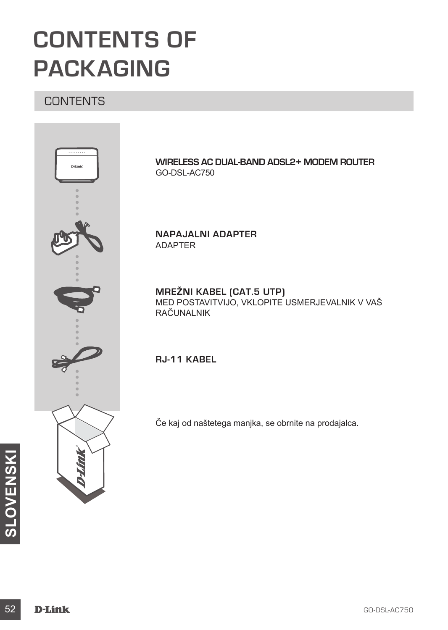# **CONTENTS OF PACKAGING**

## **CONTENTS**



**WIRELESS AC DUAL-BAND ADSL2+ MODEM ROUTER** GO-DSL-AC750

**NAPAJALNI ADAPTER** ADAPTER

**MREŽNI KABEL (CAT.5 UTP)** MED POSTAVITVIJO, VKLOPITE USMERJEVALNIK V VAŠ RAČUNALNIK

**RJ-11 KABEL**

Če kaj od naštetega manjka, se obrnite na prodajalca.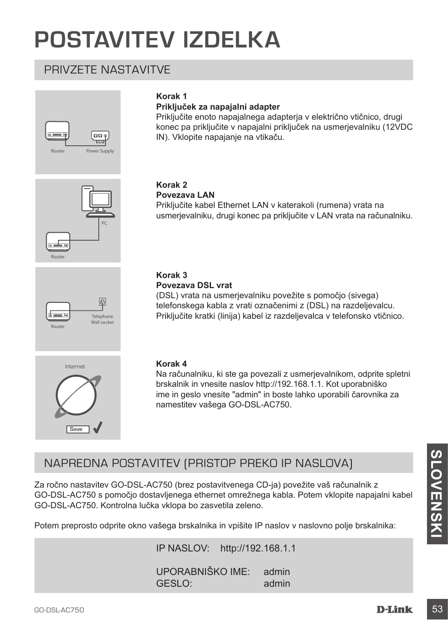# **POSTAVITEV IZDELKA**

## PRIVZETE NASTAVITVE



## **Korak 1**

#### **Priključek za napajalni adapter**

Priključite enoto napajalnega adapterja v električno vtičnico, drugi konec pa priključite v napajalni priključek na usmerjevalniku (12VDC IN). Vklopite napajanje na vtikaču.





## **Povezava LAN**

Priključite kabel Ethernet LAN v katerakoli (rumena) vrata na usmerjevalniku, drugi konec pa priključite v LAN vrata na računalniku.



### **Korak 3**

#### **Povezava DSL vrat**

(DSL) vrata na usmerjevalniku povežite s pomočjo (sivega) telefonskega kabla z vrati označenimi z (DSL) na razdeljevalcu. Priključite kratki (linija) kabel iz razdeljevalca v telefonsko vtičnico.



#### **Korak 4**

Na računalniku, ki ste ga povezali z usmerjevalnikom, odprite spletni brskalnik in vnesite naslov http://192.168.1.1. Kot uporabniško ime in geslo vnesite "admin" in boste lahko uporabili čarovnika za namestitev vašega GO-DSL-AC750.

## NAPREDNA POSTAVITEV (PRISTOP PREKO IP NASLOVA)

NAPREDNA POSTAVITEV (PRISTOP PREKO IP NASLOVA)<br>
Za ročno nastavitev GO-DSL-AC750 (brez postavitvenega CD-ja) povežite vaš računalnik z<br>
GO-DSL-AC750 s pomočjo dostavljenega ethernet omrežnega kabla. Potem vklopite napajaln Za ročno nastavitev GO-DSL-AC750 (brez postavitvenega CD-ja) povežite vaš računalnik z GO-DSL-AC750 s pomočjo dostavljenega ethernet omrežnega kabla. Potem vklopite napajalni kabel GO-DSL-AC750. Kontrolna lučka vklopa bo zasvetila zeleno.

Potem preprosto odprite okno vašega brskalnika in vpišite IP naslov v naslovno polje brskalnika:

IP NASLOV: http://192.168.1.1

UPORABNIŠKO IME: admin GESLO: admin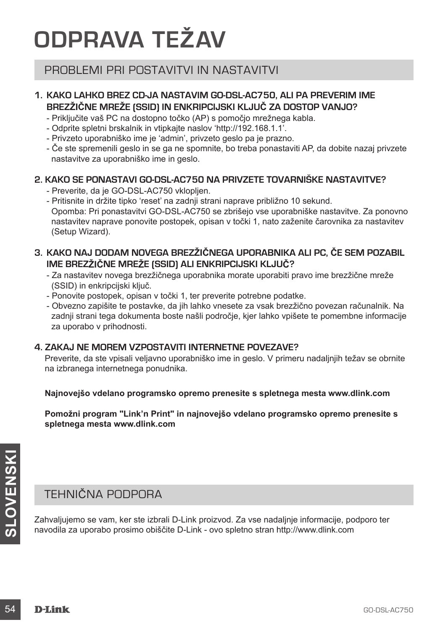# **ODPRAVA TEŽAV**

## PROBLEMI PRI POSTAVITVI IN NASTAVITVI

## **1. KAKO LAHKO BREZ CD-JA NASTAVIM GO-DSL-AC750, ALI PA PREVERIM IME BREZŽIČNE MREŽE (SSID) IN ENKRIPCIJSKI KLJUČ ZA DOSTOP VANJO?**

- Priključite vaš PC na dostopno točko (AP) s pomočjo mrežnega kabla.
- Odprite spletni brskalnik in vtipkajte naslov 'http://192.168.1.1'.
- Privzeto uporabniško ime je 'admin', privzeto geslo pa je prazno.
- Če ste spremenili geslo in se ga ne spomnite, bo treba ponastaviti AP, da dobite nazaj privzete nastavitve za uporabniško ime in geslo.

## **2. KAKO SE PONASTAVI GO-DSL-AC750 NA PRIVZETE TOVARNIŠKE NASTAVITVE?**

- Preverite, da je GO-DSL-AC750 vklopljen.
- Pritisnite in držite tipko 'reset' na zadnji strani naprave približno 10 sekund. Opomba: Pri ponastavitvi GO-DSL-AC750 se zbrišejo vse uporabniške nastavitve. Za ponovno nastavitev naprave ponovite postopek, opisan v točki 1, nato zaženite čarovnika za nastavitev (Setup Wizard).

## **3. KAKO NAJ DODAM NOVEGA BREZŽIČNEGA UPORABNIKA ALI PC, ČE SEM POZABIL IME BREZŽIČNE MREŽE (SSID) ALI ENKRIPCIJSKI KLJUČ?**

- Za nastavitev novega brezžičnega uporabnika morate uporabiti pravo ime brezžične mreže (SSID) in enkripcijski ključ.
- Ponovite postopek, opisan v točki 1, ter preverite potrebne podatke.
- Obvezno zapišite te postavke, da jih lahko vnesete za vsak brezžično povezan računalnik. Na zadnji strani tega dokumenta boste našli področje, kjer lahko vpišete te pomembne informacije za uporabo v prihodnosti.

### **4. ZAKAJ NE MOREM VZPOSTAVITI INTERNETNE POVEZAVE?**

Preverite, da ste vpisali veljavno uporabniško ime in geslo. V primeru nadaljnjih težav se obrnite na izbranega internetnega ponudnika.

**Najnovejšo vdelano programsko opremo prenesite s spletnega mesta www.dlink.com**

**Pomožni program "Link'n Print" in najnovejšo vdelano programsko opremo prenesite s spletnega mesta www.dlink.com**

## TEHNIČNA PODPORA

**EHNIČNA PODPORA**<br> **SAMAGINE SE SAMAGING SERVE SAMAGING SERVE SAMAGING SERVE SAMAGING SAMAGING SAMAGING SAMAGING SAMAGING SAMAGING SAMAGING SAMAGING SAMAGING SAMAGING SAMAGING SAMAGING SAMAGING SAMAGING SAMAGING SAMAGING S** Zahvaljujemo se vam, ker ste izbrali D-Link proizvod. Za vse nadaljnje informacije, podporo ter navodila za uporabo prosimo obiščite D-Link - ovo spletno stran http://www.dlink.com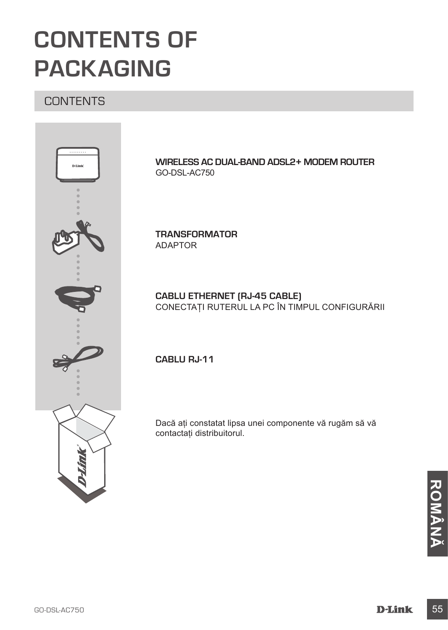# **CONTENTS OF PACKAGING**

## **CONTENTS**



**WIRELESS AC DUAL-BAND ADSL2+ MODEM ROUTER** GO-DSL-AC750

**TRANSFORMATOR** ADAPTOR

## **CABLU ETHERNET (RJ-45 CABLE)** CONECTAŢI RUTERUL LA PC ÎN TIMPUL CONFIGURĂRII

**CABLU RJ-11**

Dacă aţi constatat lipsa unei componente vă rugăm să vă contactaţi distribuitorul.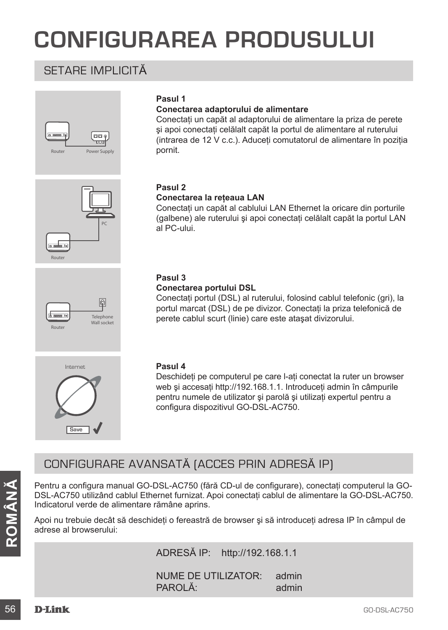# **CONFIGURAREA PRODUSULUI**

## SETARE IMPLICITĂ





**Pasul 1**

pornit.

#### **Pasul 2 Conectarea la reţeaua LAN**

**Conectarea adaptorului de alimentare**

Conectati un capăt al cablului LAN Ethernet la oricare din porturile (galbene) ale ruterului și apoi conectați celălalt capăt la portul LAN al PC-ului.

Conectati un capăt al adaptorului de alimentare la priza de perete si apoi conectati celălalt capăt la portul de alimentare al ruterului (intrarea de 12 V c.c.). Aduceţi comutatorul de alimentare în poziţia





#### **Pasul 3 Conectarea portului DSL**

Conectaţi portul (DSL) al ruterului, folosind cablul telefonic (gri), la portul marcat (DSL) de pe divizor. Conectaţi la priza telefonică de perete cablul scurt (linie) care este ataşat divizorului.



### **Pasul 4**

Deschideţi pe computerul pe care l-aţi conectat la ruter un browser web și accesați http://192.168.1.1. Introduceți admin în câmpurile pentru numele de utilizator și parolă și utilizați expertul pentru a configura dispozitivul GO-DSL-AC750.

## CONFIGURARE AVANSATĂ (ACCES PRIN ADRESĂ IP)

Fentru a configura manual GO-DSL-AC750 (fără CD-ul de configurare), conectați computerul la GO-DSL-AC750 utilizând cablul Ethernet furnizat. Apoi conectați cablul e alimentare la GO-DSL-AC750.<br>
Indicatorul verde de aliment Pentru a configura manual GO-DSL-AC750 (fără CD-ul de configurare), conectați computerul la GO-DSL-AC750 utilizând cablul Ethernet furnizat. Apoi conectati cablul de alimentare la GO-DSL-AC750. Indicatorul verde de alimentare rămâne aprins.

Apoi nu trebuie decât să deschideţi o fereastră de browser şi să introduceţi adresa IP în câmpul de adrese al browserului:

ADRESĂ IP: http://192.168.1.1

NUME DE UTILIZATOR: admin PAROLĂ<sup>:</sup> admin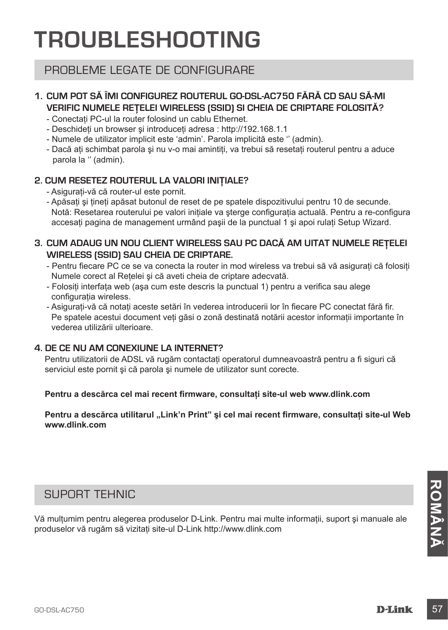# **TROUBLESHOOTING**

## PROBLEME LEGATE DE CONFIGURARE

## **1. CUM POT SĂ ÎMI CONFIGUREZ ROUTERUL GO-DSL-AC750 FĂRĂ CD SAU SĂ-MI VERIFIC NUMELE REŢELEI WIRELESS (SSID) SI CHEIA DE CRIPTARE FOLOSITĂ?**

- Conectati PC-ul la router folosind un cablu Ethernet.
- Deschideti un browser si introduceti adresa : http://192.168.1.1
- Numele de utilizator implicit este 'admin'. Parola implicită este '' (admin).
- Dacă ati schimbat parola și nu v-o mai amintiti, va trebui să resetati routerul pentru a aduce parola la '' (admin).

## **2. CUM RESETEZ ROUTERUL LA VALORI INIŢIALE?**

- Asiguraţi-vă că router-ul este pornit.
- Apăsaţi şi ţineţi apăsat butonul de reset de pe spatele dispozitivului pentru 10 de secunde. Notă: Resetarea routerului pe valori initiale va sterge configuratia actuală. Pentru a re-configura accesati pagina de management urmând pasii de la punctual 1 și apoi rulați Setup Wizard.

## **3. CUM ADAUG UN NOU CLIENT WIRELESS SAU PC DACĂ AM UITAT NUMELE REŢELEI WIRELESS (SSID) SAU CHEIA DE CRIPTARE.**

- Pentru fiecare PC ce se va conecta la router in mod wireless va trebui să vă asigurati că folositi Numele corect al Retelei și că aveti cheia de criptare adecvată.
- Folositi interfata web (asa cum este descris la punctual 1) pentru a verifica sau alege configuratia wireless.
- Asigurați-vă că notați aceste setări în vederea introducerii lor în fiecare PC conectat fără fir. Pe spatele acestui document veti găsi o zonă destinată notării acestor informații importante în vederea utilizării ulterioare.

## **4. DE CE NU AM CONEXIUNE LA INTERNET?**

Pentru utilizatorii de ADSL vă rugăm contactaţi operatorul dumneavoastră pentru a fi siguri că serviciul este pornit şi că parola şi numele de utilizator sunt corecte.

**Pentru a descărca cel mai recent firmware, consultaţi site-ul web www.dlink.com**

Pentru a descărca utilitarul "Link'n Print" și cel mai recent firmware, consultați site-ul Web **www.dlink.com**

## SUPORT TEHNIC

SUPORT TEHNIC<br>Vă mulțumim pentru alegerea produselor D-Link. Pentru mai multe informații, suport și manuale ale<br>produselor vă rugăm să vizitați site-ul D-Link http://www.dlink.com<br>GO-DSL-AC750<br>**D-Link** 57 Vă multumim pentru alegerea produselor D-Link. Pentru mai multe informații, suport și manuale ale produselor vă rugăm să vizitati site-ul D-Link http://www.dlink.com